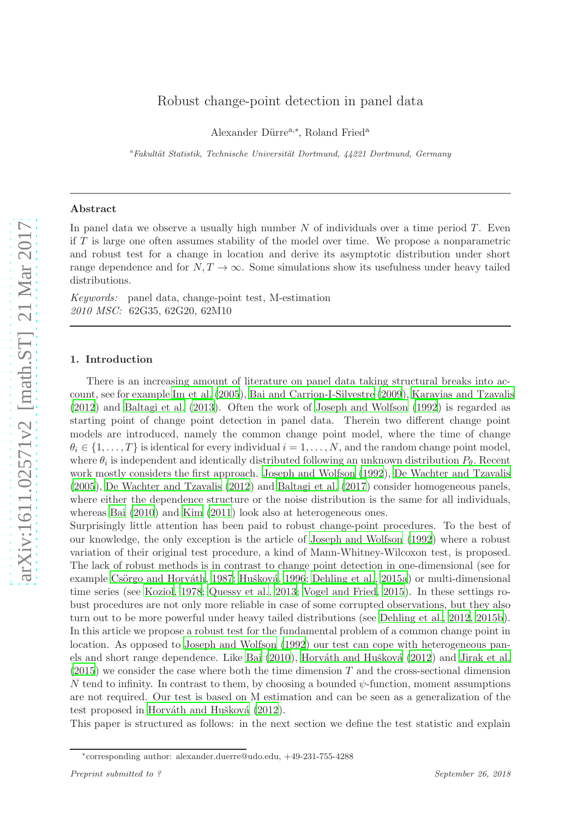Alexander Dürre<sup>a,∗</sup>, Roland Fried<sup>a</sup>

<sup>a</sup>Fakultät Statistik, Technische Universität Dortmund, 44221 Dortmund, Germany

### Abstract

In panel data we observe a usually high number  $N$  of individuals over a time period  $T$ . Even if T is large one often assumes stability of the model over time. We propose a nonparametric and robust test for a change in location and derive its asymptotic distribution under short range dependence and for  $N, T \to \infty$ . Some simulations show its usefulness under heavy tailed distributions.

Keywords: panel data, change-point test, M-estimation 2010 MSC: 62G35, 62G20, 62M10

### 1. Introduction

There is an increasing amount of literature on panel data taking structural breaks into account, see for example [Im et al. \(2005\)](#page-15-0), [Bai and Carrion-I-Silvestre \(2009](#page-14-0)), [Karavias and Tzavalis](#page-15-1) [\(2012](#page-15-1)) and [Baltagi et al. \(2013](#page-14-1)). Often the work of [Joseph and](#page-15-2) Wolfson [\(1992](#page-15-2)) is regarded as starting point of change point detection in panel data. Therein two different change point models are introduced, namely the common change point model, where the time of change  $\theta_i \in \{1, \ldots, T\}$  is identical for every individual  $i = 1, \ldots, N$ , and the random change point model, where  $\theta_i$  is independent and identically distributed following an unknown distribution  $P_\theta$ . Recent work mostly considers the first approach. [Joseph and Wolfson](#page-15-2) [\(1992](#page-15-2)), [De Wachter and Tzavalis](#page-14-2) [\(2005](#page-14-2)), [De Wachter and Tzavalis \(2012](#page-14-3)) and [Baltagi et al. \(2017](#page-14-4)) consider homogeneous panels, where either the dependence structure or the noise distribution is the same for all individuals, whereas [Bai \(2010](#page-14-5)) and [Kim \(2011](#page-15-3)) look also at heterogeneous ones.

Surprisingly little attention has been paid to robust change-point procedures. To the best of our knowledge, the only exception is the article of [Joseph and Wolfson \(1992\)](#page-15-2) where a robust variation of their original test procedure, a kind of Mann-Whitney-Wilcoxon test, is proposed. The lack of robust methods is in contrast to change point detection in one-dimensional (see for example Csörgo and Horváth, 1987; Hušková, [1996;](#page-15-4) [Dehling et al., 2015a](#page-14-7)) or multi-dimensional time series (see [Koziol](#page-15-5), [1978;](#page-15-5) [Quessy et al.](#page-15-6), [2013](#page-15-6); [Vogel and](#page-15-7) Fried, [2015](#page-15-7)). In these settings robust procedures are not only more reliable in case of some corrupted observations, but they also turn out to be more powerful under heavy tailed distributions (see [Dehling et al., 2012,](#page-14-8) [2015b](#page-14-9)). In this article we propose a robust test for the fundamental problem of a common change point in location. As opposed to [Joseph and Wolfson \(1992\)](#page-15-2) our test can cope with heterogeneous pan-els and short range dependence. Like [Bai \(2010](#page-14-5)), Horváth and Hušková (2012) and [Jirak et al.](#page-15-8)  $(2015)$  $(2015)$  we consider the case where both the time dimension T and the cross-sectional dimension N tend to infinity. In contrast to them, by choosing a bounded  $\psi$ -function, moment assumptions are not required. Our test is based on M estimation and can be seen as a generalization of the test proposed in Horváth and Hušková (2012).

This paper is structured as follows: in the next section we define the test statistic and explain

<sup>∗</sup> corresponding author: alexander.duerre@udo.edu, +49-231-755-4288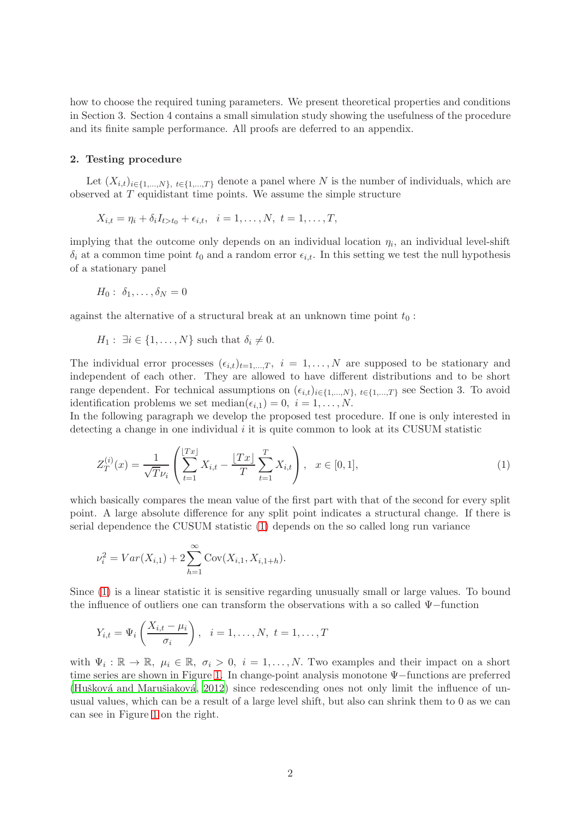how to choose the required tuning parameters. We present theoretical properties and conditions in Section 3. Section 4 contains a small simulation study showing the usefulness of the procedure and its finite sample performance. All proofs are deferred to an appendix.

## 2. Testing procedure

Let  $(X_{i,t})_{i\in\{1,\ldots,N\}, t\in\{1,\ldots,T\}}$  denote a panel where N is the number of individuals, which are observed at T equidistant time points. We assume the simple structure

$$
X_{i,t} = \eta_i + \delta_i I_{t>t_0} + \epsilon_{i,t}, \quad i = 1, ..., N, \ t = 1, ..., T,
$$

implying that the outcome only depends on an individual location  $\eta_i$ , an individual level-shift  $\delta_i$  at a common time point  $t_0$  and a random error  $\epsilon_{i,t}$ . In this setting we test the null hypothesis of a stationary panel

$$
H_0: \ \delta_1,\ldots,\delta_N=0
$$

against the alternative of a structural break at an unknown time point  $t_0$ :

$$
H_1: \exists i \in \{1, \ldots, N\} \text{ such that } \delta_i \neq 0.
$$

The individual error processes  $(\epsilon_{i,t})_{t=1,\dots,T}$ ,  $i = 1,\dots,N$  are supposed to be stationary and independent of each other. They are allowed to have different distributions and to be short range dependent. For technical assumptions on  $(\epsilon_{i,t})_{i\in\{1,\dots,N\}, t\in\{1,\dots,T\}}$  see Section 3. To avoid identification problems we set median $(\epsilon_{i,1}) = 0, i = 1, \ldots, N$ .

In the following paragraph we develop the proposed test procedure. If one is only interested in detecting a change in one individual  $i$  it is quite common to look at its CUSUM statistic

<span id="page-1-0"></span>
$$
Z_T^{(i)}(x) = \frac{1}{\sqrt{T}\nu_i} \left( \sum_{t=1}^{\lfloor Tx \rfloor} X_{i,t} - \frac{\lfloor Tx \rfloor}{T} \sum_{t=1}^T X_{i,t} \right), \quad x \in [0,1],
$$
 (1)

which basically compares the mean value of the first part with that of the second for every split point. A large absolute difference for any split point indicates a structural change. If there is serial dependence the CUSUM statistic [\(1\)](#page-1-0) depends on the so called long run variance

$$
\nu_i^2 = Var(X_{i,1}) + 2 \sum_{h=1}^{\infty} Cov(X_{i,1}, X_{i,1+h}).
$$

Since [\(1\)](#page-1-0) is a linear statistic it is sensitive regarding unusually small or large values. To bound the influence of outliers one can transform the observations with a so called Ψ−function

$$
Y_{i,t} = \Psi_i\left(\frac{X_{i,t} - \mu_i}{\sigma_i}\right), \quad i = 1, \dots, N, \ t = 1, \dots, T
$$

with  $\Psi_i : \mathbb{R} \to \mathbb{R}$ ,  $\mu_i \in \mathbb{R}$ ,  $\sigma_i > 0$ ,  $i = 1, \ldots, N$ . Two examples and their impact on a short time series are shown in Figure [1.](#page-2-0) In change-point analysis monotone Ψ−functions are preferred (Hušková and Marušiaková,  $2012$ ) since redescending ones not only limit the influence of unusual values, which can be a result of a large level shift, but also can shrink them to 0 as we can can see in Figure [1](#page-2-0) on the right.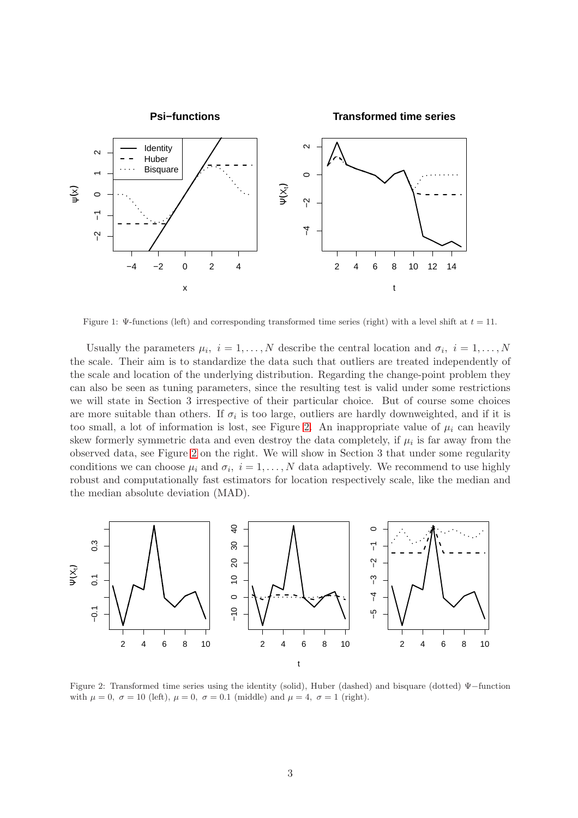

<span id="page-2-0"></span>Figure 1: Ψ-functions (left) and corresponding transformed time series (right) with a level shift at  $t = 11$ .

Usually the parameters  $\mu_i$ ,  $i = 1, ..., N$  describe the central location and  $\sigma_i$ ,  $i = 1, ..., N$ the scale. Their aim is to standardize the data such that outliers are treated independently of the scale and location of the underlying distribution. Regarding the change-point problem they can also be seen as tuning parameters, since the resulting test is valid under some restrictions we will state in Section 3 irrespective of their particular choice. But of course some choices are more suitable than others. If  $\sigma_i$  is too large, outliers are hardly downweighted, and if it is too small, a lot of information is lost, see Figure [2.](#page-2-1) An inappropriate value of  $\mu_i$  can heavily skew formerly symmetric data and even destroy the data completely, if  $\mu_i$  is far away from the observed data, see Figure [2](#page-2-1) on the right. We will show in Section 3 that under some regularity conditions we can choose  $\mu_i$  and  $\sigma_i$ ,  $i = 1, ..., N$  data adaptively. We recommend to use highly robust and computationally fast estimators for location respectively scale, like the median and the median absolute deviation (MAD).



<span id="page-2-1"></span>Figure 2: Transformed time series using the identity (solid), Huber (dashed) and bisquare (dotted) Ψ−function with  $\mu = 0$ ,  $\sigma = 10$  (left),  $\mu = 0$ ,  $\sigma = 0.1$  (middle) and  $\mu = 4$ ,  $\sigma = 1$  (right).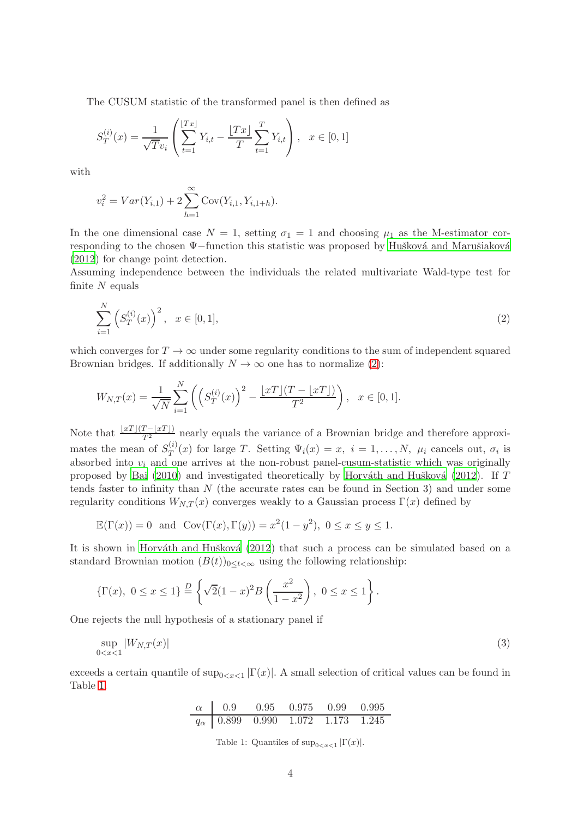The CUSUM statistic of the transformed panel is then defined as

$$
S_T^{(i)}(x) = \frac{1}{\sqrt{T}v_i} \left( \sum_{t=1}^{\lfloor Tx \rfloor} Y_{i,t} - \frac{\lfloor Tx \rfloor}{T} \sum_{t=1}^T Y_{i,t} \right), \quad x \in [0,1]
$$

with

$$
v_i^2 = Var(Y_{i,1}) + 2\sum_{h=1}^{\infty} Cov(Y_{i,1}, Y_{i,1+h}).
$$

In the one dimensional case  $N = 1$ , setting  $\sigma_1 = 1$  and choosing  $\mu_1$  as the M-estimator corresponding to the chosen Ψ−function this statistic was proposed by Hušková and Marušiaková [\(2012](#page-15-9)) for change point detection.

Assuming independence between the individuals the related multivariate Wald-type test for finite  $N$  equals

<span id="page-3-0"></span>
$$
\sum_{i=1}^{N} \left( S_T^{(i)}(x) \right)^2, \quad x \in [0, 1], \tag{2}
$$

which converges for  $T \to \infty$  under some regularity conditions to the sum of independent squared Brownian bridges. If additionally  $N \to \infty$  one has to normalize [\(2\)](#page-3-0):

$$
W_{N,T}(x) = \frac{1}{\sqrt{N}} \sum_{i=1}^{N} \left( \left( S_T^{(i)}(x) \right)^2 - \frac{\lfloor xT \rfloor (T - \lfloor xT \rfloor)}{T^2} \right), \quad x \in [0,1].
$$

Note that  $\frac{\lfloor xT\rfloor(T-\lfloor xT\rfloor)}{T^2}$  nearly equals the variance of a Brownian bridge and therefore approximates the mean of  $S_T^{(i)}$  $T(T)(x)$  for large T. Setting  $\Psi_i(x) = x$ ,  $i = 1, ..., N$ ,  $\mu_i$  cancels out,  $\sigma_i$  is absorbed into  $v_i$  and one arrives at the non-robust panel-cusum-statistic which was originally proposed by [Bai \(2010](#page-14-5)) and investigated theoretically by Horváth and Hušková (2012). If  $T$ tends faster to infinity than N (the accurate rates can be found in Section 3) and under some regularity conditions  $W_{N,T}(x)$  converges weakly to a Gaussian process  $\Gamma(x)$  defined by

$$
\mathbb{E}(\Gamma(x)) = 0
$$
 and  $\text{Cov}(\Gamma(x), \Gamma(y)) = x^2(1 - y^2), 0 \le x \le y \le 1.$ 

It is shown in Horváth and Hušková  $(2012)$  that such a process can be simulated based on a standard Brownian motion  $(B(t))_{0 \leq t \leq \infty}$  using the following relationship:

$$
\{\Gamma(x), \ 0 \le x \le 1\} \stackrel{D}{=} \left\{ \sqrt{2}(1-x)^2 B\left(\frac{x^2}{1-x^2}\right), \ 0 \le x \le 1 \right\}.
$$

One rejects the null hypothesis of a stationary panel if

$$
\sup_{0
$$

exceeds a certain quantile of  $\sup_{0 \le x \le 1} |\Gamma(x)|$ . A small selection of critical values can be found in Table [1.](#page-3-1)

| $\alpha$     | 0.9   | 0.95  | 0.975 | 0.99  | 0.995 |
|--------------|-------|-------|-------|-------|-------|
| $q_{\alpha}$ | 0.899 | 0.990 | 1.072 | 1.173 | 1.245 |

<span id="page-3-2"></span><span id="page-3-1"></span>Table 1: Quantiles of  $\sup_{0 \le x \le 1} |\Gamma(x)|$ .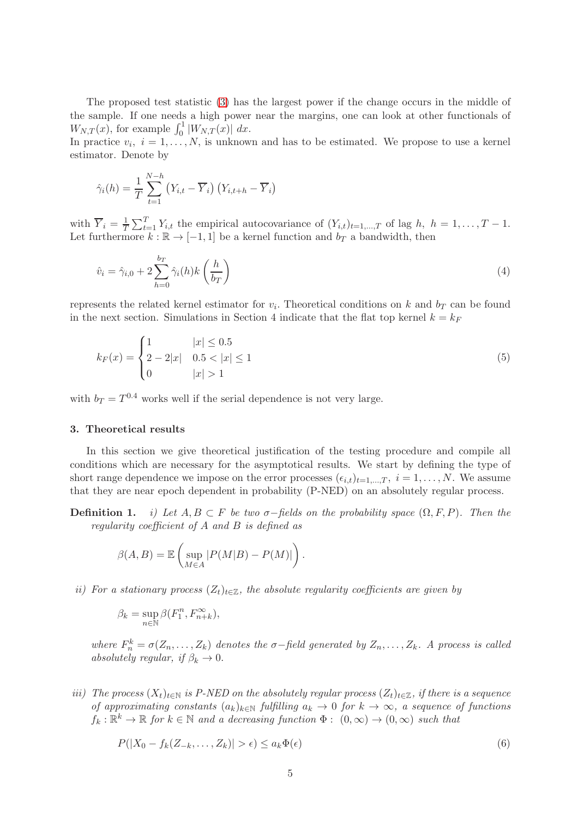The proposed test statistic [\(3\)](#page-3-2) has the largest power if the change occurs in the middle of the sample. If one needs a high power near the margins, one can look at other functionals of  $W_{N,T}(x)$ , for example  $\int_0^1 |W_{N,T}(x)| dx$ .

In practice  $v_i$ ,  $i = 1, ..., N$ , is unknown and has to be estimated. We propose to use a kernel estimator. Denote by

$$
\hat{\gamma}_i(h) = \frac{1}{T} \sum_{t=1}^{N-h} (Y_{i,t} - \overline{Y}_i) (Y_{i,t+h} - \overline{Y}_i)
$$

with  $\overline{Y}_i = \frac{1}{7}$  $\frac{1}{T}\sum_{t=1}^T Y_{i,t}$  the empirical autocovariance of  $(Y_{i,t})_{t=1,\dots,T}$  of lag  $h, h = 1,\dots,T-1$ . Let furthermore  $k : \mathbb{R} \to [-1, 1]$  be a kernel function and  $b_T$  a bandwidth, then

<span id="page-4-1"></span>
$$
\hat{v}_i = \hat{\gamma}_{i,0} + 2 \sum_{h=0}^{b_T} \hat{\gamma}_i(h) k\left(\frac{h}{b_T}\right) \tag{4}
$$

represents the related kernel estimator for  $v_i$ . Theoretical conditions on k and  $b_T$  can be found in the next section. Simulations in Section 4 indicate that the flat top kernel  $k = k_F$ 

<span id="page-4-0"></span>
$$
k_F(x) = \begin{cases} 1 & |x| \le 0.5 \\ 2 - 2|x| & 0.5 < |x| \le 1 \\ 0 & |x| > 1 \end{cases}
$$
 (5)

with  $b_T = T^{0.4}$  works well if the serial dependence is not very large.

### 3. Theoretical results

In this section we give theoretical justification of the testing procedure and compile all conditions which are necessary for the asymptotical results. We start by defining the type of short range dependence we impose on the error processes  $(\epsilon_{i,t})_{t=1,\dots,T}, i = 1,\dots,N$ . We assume that they are near epoch dependent in probability (P-NED) on an absolutely regular process.

**Definition 1.** i) Let  $A, B \subset F$  be two  $\sigma$ -fields on the probability space  $(\Omega, F, P)$ . Then the regularity coefficient of A and B is defined as

$$
\beta(A, B) = \mathbb{E}\left(\sup_{M \in A} |P(M|B) - P(M)|\right).
$$

ii) For a stationary process  $(Z_t)_{t\in\mathbb{Z}}$ , the absolute regularity coefficients are given by

$$
\beta_k = \sup_{n \in \mathbb{N}} \beta(F_1^n, F_{n+k}^\infty),
$$

where  $F_n^k = \sigma(Z_n, \ldots, Z_k)$  denotes the  $\sigma$ -field generated by  $Z_n, \ldots, Z_k$ . A process is called absolutely regular, if  $\beta_k \to 0$ .

iii) The process  $(X_t)_{t\in\mathbb{N}}$  is P-NED on the absolutely regular process  $(Z_t)_{t\in\mathbb{Z}}$ , if there is a sequence of approximating constants  $(a_k)_{k\in\mathbb{N}}$  fulfilling  $a_k \to 0$  for  $k \to \infty$ , a sequence of functions  $f_k: \mathbb{R}^k \to \mathbb{R}$  for  $k \in \mathbb{N}$  and a decreasing function  $\Phi: (0, \infty) \to (0, \infty)$  such that

$$
P(|X_0 - f_k(Z_{-k}, \dots, Z_k)| > \epsilon) \le a_k \Phi(\epsilon)
$$
\n<sup>(6)</sup>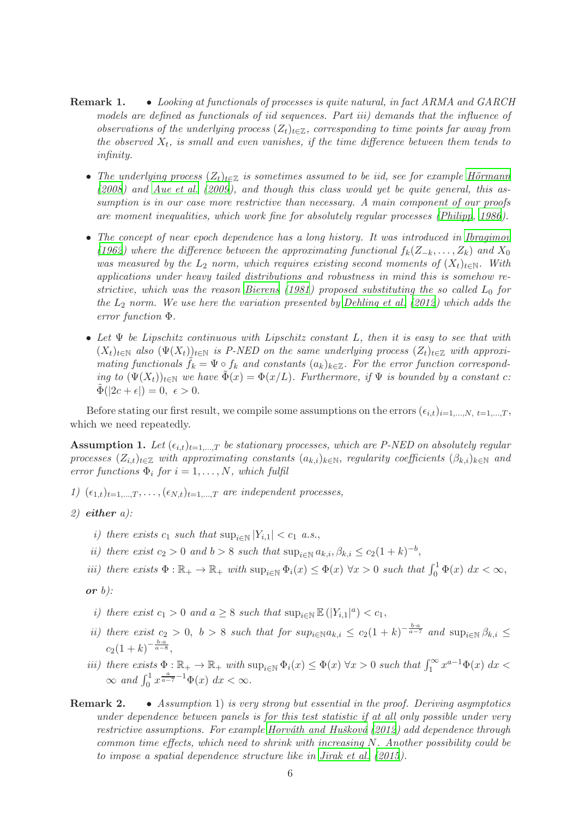- Remark 1. Looking at functionals of processes is quite natural, in fact ARMA and GARCH models are defined as functionals of iid sequences. Part iii) demands that the influence of observations of the underlying process  $(Z_t)_{t\in\mathbb{Z}}$ , corresponding to time points far away from the observed  $X_t$ , is small and even vanishes, if the time difference between them tends to infinity.
	- The underlying process  $(Z_t)_{t\in\mathbb{Z}}$  is sometimes assumed to be iid, see for example Hörmann [\(2008](#page-14-11)) and [Aue et al. \(2009\)](#page-14-12), and though this class would yet be quite general, this assumption is in our case more restrictive than necessary. A main component of our proofs are moment inequalities, which work fine for absolutely regular processes [\(Philipp](#page-15-10), [1986\)](#page-15-10).
	- The concept of near epoch dependence has a long history. It was introduced in [Ibragimov](#page-15-11) [\(1962](#page-15-11)) where the difference between the approximating functional  $f_k(Z_{-k},...,Z_k)$  and  $X_0$ was measured by the  $L_2$  norm, which requires existing second moments of  $(X_t)_{t\in\mathbb{N}}$ . With applications under heavy tailed distributions and robustness in mind this is somehow re-strictive, which was the reason [Bierens \(1981\)](#page-14-13) proposed substituting the so called  $L_0$  for the  $L_2$  norm. We use here the variation presented by [Dehling et al. \(2012](#page-14-8)) which adds the error function Φ.
	- Let  $\Psi$  be Lipschitz continuous with Lipschitz constant L, then it is easy to see that with  $(X_t)_{t\in\mathbb{N}}$  also  $(\Psi(X_t))_{t\in\mathbb{N}}$  is P-NED on the same underlying process  $(Z_t)_{t\in\mathbb{Z}}$  with approximating functionals  $\tilde{f}_k = \Psi \circ f_k$  and constants  $(a_k)_{k \in \mathbb{Z}}$ . For the error function corresponding to  $(\Psi(X_t))_{t\in\mathbb{N}}$  we have  $\tilde{\Phi}(x) = \Phi(x/L)$ . Furthermore, if  $\Psi$  is bounded by a constant c:  $\Phi(|2c + \epsilon|) = 0, \epsilon > 0.$

Before stating our first result, we compile some assumptions on the errors  $(\epsilon_{i,t})_{i=1,\dots,N, t=1,\dots,T}$ which we need repeatedly.

**Assumption 1.** Let  $(\epsilon_{i,t})_{t=1,\dots,T}$  be stationary processes, which are P-NED on absolutely regular processes  $(Z_{i,t})_{t\in\mathbb{Z}}$  with approximating constants  $(a_{k,i})_{k\in\mathbb{N}}$ , regularity coefficients  $(\beta_{k,i})_{k\in\mathbb{N}}$  and error functions  $\Phi_i$  for  $i = 1, ..., N$ , which fulfil

- 1)  $(\epsilon_{1,t})_{t=1,\dots,T}, \dots, (\epsilon_{N,t})_{t=1,\dots,T}$  are independent processes,
- $2)$  either a):
	- i) there exists  $c_1$  such that  $\sup_{i\in\mathbb{N}} |Y_{i,1}| < c_1$  a.s.,
	- ii) there exist  $c_2 > 0$  and  $b > 8$  such that  $\sup_{i \in \mathbb{N}} a_{k,i}, \beta_{k,i} \le c_2(1+k)^{-b}$ ,
	- iii) there exists  $\Phi : \mathbb{R}_+ \to \mathbb{R}_+$  with  $\sup_{i \in \mathbb{N}} \Phi_i(x) \leq \Phi(x) \forall x > 0$  such that  $\int_0^1 \Phi(x) dx < \infty$ ,

## or  $b$ ):

- i) there exist  $c_1 > 0$  and  $a \geq 8$  such that  $\sup_{i \in \mathbb{N}} \mathbb{E}(|Y_{i,1}|^a) < c_1$ ,
- ii) there exist  $c_2 > 0$ ,  $b > 8$  such that for  $sup_{i \in \mathbb{N}} a_{k,i} \le c_2(1+k)^{-\frac{b \cdot a}{a-7}}$  and  $sup_{i \in \mathbb{N}} \beta_{k,i} \le c_2$  $c_2(1+k)^{-\frac{b\cdot a}{a-8}},$
- iii) there exists  $\Phi: \mathbb{R}_+ \to \mathbb{R}_+$  with  $\sup_{i \in \mathbb{N}} \Phi_i(x) \leq \Phi(x) \forall x > 0$  such that  $\int_1^\infty x^{a-1} \Phi(x) dx <$  $\infty$  and  $\int_0^1 x^{\frac{a}{a-7}-1} \Phi(x) dx < \infty$ .

# Remark 2. • Assumption 1) is very strong but essential in the proof. Deriving asymptotics under dependence between panels is for this test statistic if at all only possible under very restrictive assumptions. For example Horváth and Hušková (2012) add dependence through common time effects, which need to shrink with increasing  $N$ . Another possibility could be to impose a spatial dependence structure like in [Jirak et al.](#page-15-8) [\(2015](#page-15-8)).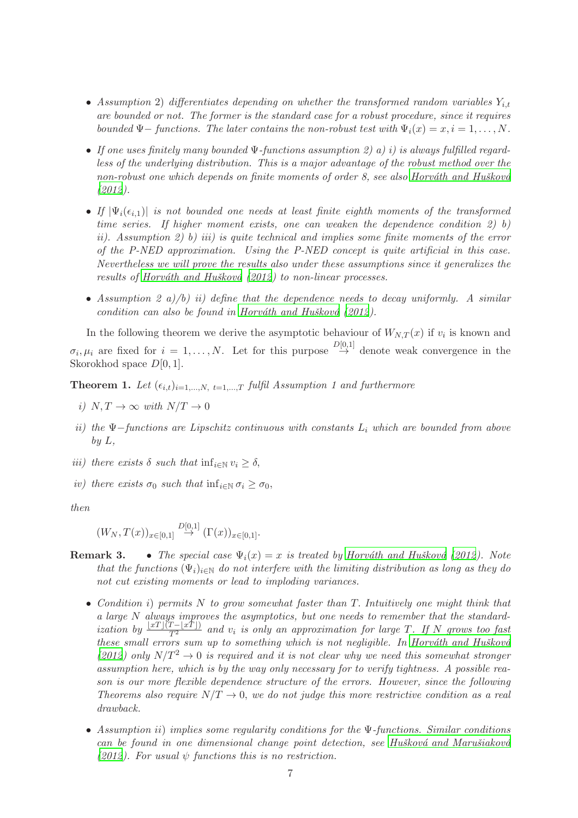- Assumption 2) differentiates depending on whether the transformed random variables  $Y_{i,t}$ are bounded or not. The former is the standard case for a robust procedure, since it requires bounded  $\Psi$ – functions. The later contains the non-robust test with  $\Psi_i(x) = x, i = 1, \ldots, N$ .
- If one uses finitely many bounded  $\Psi$ -functions assumption 2) a) i) is always fulfilled regardless of the underlying distribution. This is a major advantage of the robust method over the non-robust one which depends on finite moments of order 8, see also Horváth and Hušková [\(2012\)](#page-14-10).
- If  $|\Psi_i(\epsilon_{i,1})|$  is not bounded one needs at least finite eighth moments of the transformed time series. If higher moment exists, one can weaken the dependence condition 2) b) ii). Assumption 2) b) iii) is quite technical and implies some finite moments of the error of the P-NED approximation. Using the P-NED concept is quite artificial in this case. Nevertheless we will prove the results also under these assumptions since it generalizes the results of Horváth and Hušková  $(2012)$  to non-linear processes.
- Assumption 2 a)/b) ii) define that the dependence needs to decay uniformly. A similar condition can also be found in Horváth and Hušková  $(2012)$ .

In the following theorem we derive the asymptotic behaviour of  $W_{N,T}(x)$  if  $v_i$  is known and  $\sigma_i, \mu_i$  are fixed for  $i = 1, \ldots, N$ . Let for this purpose  $\stackrel{D[0,1]}{\rightarrow}$  denote weak convergence in the Skorokhod space D[0, 1].

<span id="page-6-0"></span>**Theorem 1.** Let  $(\epsilon_{i,t})_{i=1,\dots,N, t=1,\dots,T}$  fulfil Assumption 1 and furthermore

- i)  $N, T \rightarrow \infty$  with  $N/T \rightarrow 0$
- ii) the Ψ $-$ functions are Lipschitz continuous with constants  $L_i$  which are bounded from above  $by L$ ,
- iii) there exists  $\delta$  such that  $\inf_{i \in \mathbb{N}} v_i \geq \delta$ .
- iv) there exists  $\sigma_0$  such that  $\inf_{i\in\mathbb{N}} \sigma_i > \sigma_0$ ,

then

$$
(W_N, T(x))_{x \in [0,1]} \stackrel{D[0,1]}{\rightarrow} (\Gamma(x))_{x \in [0,1]}.
$$

- **Remark 3.** The special case  $\Psi_i(x) = x$  is treated by Horváth and Hušková (2012). Note that the functions  $(\Psi_i)_{i\in\mathbb{N}}$  do not interfere with the limiting distribution as long as they do not cut existing moments or lead to imploding variances.
	- Condition i) permits N to grow somewhat faster than T. Intuitively one might think that a large N always improves the asymptotics, but one needs to remember that the standardization by  $\frac{\lfloor xT\rfloor(T - \lfloor xT\rfloor)}{T^2}$  and  $v_i$  is only an approximation for large T. If N grows too fast these small errors sum up to something which is not negligible. In Horváth and Hušková [\(2012](#page-14-10)) only  $N/T^2 \rightarrow 0$  is required and it is not clear why we need this somewhat stronger assumption here, which is by the way only necessary for to verify tightness. A possible reason is our more flexible dependence structure of the errors. However, since the following Theorems also require  $N/T \rightarrow 0$ , we do not judge this more restrictive condition as a real drawback.
	- Assumption ii) implies some regularity conditions for the Ψ-functions. Similar conditions can be found in one dimensional change point detection, see Hušková and Marušiaková [\(2012](#page-15-9)). For usual  $\psi$  functions this is no restriction.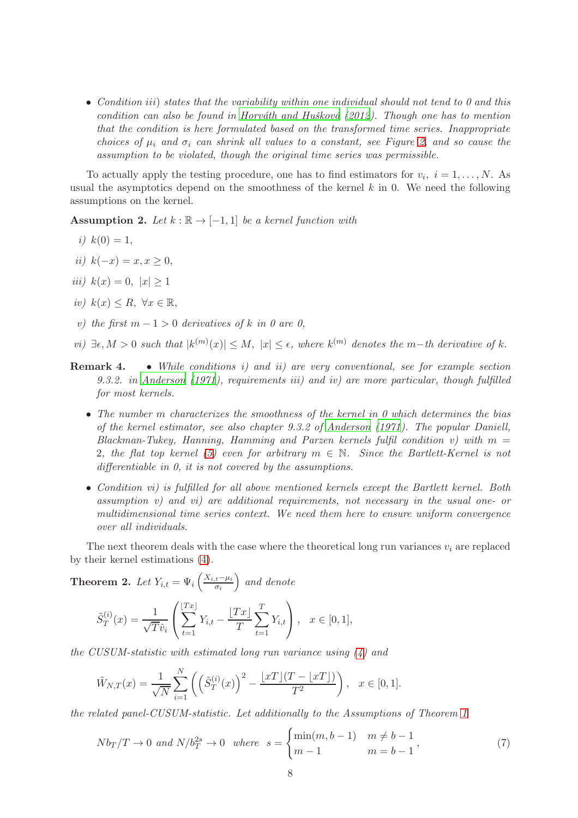• Condition iii) states that the variability within one individual should not tend to  $\theta$  and this condition can also be found in Horváth and Hušková  $(2012)$ . Though one has to mention that the condition is here formulated based on the transformed time series. Inappropriate choices of  $\mu_i$  and  $\sigma_i$  can shrink all values to a constant, see Figure [2,](#page-2-1) and so cause the assumption to be violated, though the original time series was permissible.

To actually apply the testing procedure, one has to find estimators for  $v_i$ ,  $i = 1, \ldots, N$ . As usual the asymptotics depend on the smoothness of the kernel  $k$  in 0. We need the following assumptions on the kernel.

Assumption 2. Let  $k : \mathbb{R} \to [-1,1]$  be a kernel function with

$$
i) \ k(0) = 1,
$$

- ii)  $k(-x) = x, x \ge 0$ ,
- iii)  $k(x) = 0, |x| > 1$
- iv)  $k(x) \leq R$ ,  $\forall x \in \mathbb{R}$ ,
- v) the first  $m 1 > 0$  derivatives of k in 0 are 0,
- $vi) \exists \epsilon, M > 0$  such that  $|k^{(m)}(x)| \leq M$ ,  $|x| \leq \epsilon$ , where  $k^{(m)}$  denotes the m−th derivative of k.
- Remark 4. While conditions i) and ii) are very conventional, see for example section 9.3.2. in [Anderson \(1971\)](#page-14-14), requirements iii) and iv) are more particular, though fulfilled for most kernels.
	- The number  $m$  characterizes the smoothness of the kernel in 0 which determines the bias of the kernel estimator, see also chapter 9.3.2 of [Anderson \(1971](#page-14-14)). The popular Daniell, Blackman-Tukey, Hanning, Hamming and Parzen kernels fulfil condition v) with  $m =$ 2, the flat top kernel [\(5\)](#page-4-0) even for arbitrary  $m \in \mathbb{N}$ . Since the Bartlett-Kernel is not differentiable in 0, it is not covered by the assumptions.
	- Condition vi) is fulfilled for all above mentioned kernels except the Bartlett kernel. Both assumption v) and vi) are additional requirements, not necessary in the usual one- or multidimensional time series context. We need them here to ensure uniform convergence over all individuals.

The next theorem deals with the case where the theoretical long run variances  $v_i$  are replaced by their kernel estimations [\(4\)](#page-4-1).

<span id="page-7-1"></span>**Theorem 2.** Let  $Y_{i,t} = \Psi_i \left( \frac{X_{i,t} - \mu_i}{\sigma_i} \right)$  $\sigma_i$  and denote  $\tilde S^{(i)}_T$  $T^{(i)}(x) = \frac{1}{\sqrt{T}\hat{v}_i}$  $\sqrt{ }$  $\mathcal{L}$  $\lfloor$  $\sum$  $Tx \rfloor$  $t=1$  $Y_{i,t} - \frac{\lfloor Tx \rfloor}{T}$  $\mathcal I$  $\sum$ T  $t=1$  $Y_{i,t}$  $\setminus$  $, x \in [0,1],$ 

the CUSUM-statistic with estimated long run variance using [\(4\)](#page-4-1) and

$$
\tilde{W}_{N,T}(x) = \frac{1}{\sqrt{N}} \sum_{i=1}^{N} \left( \left( \tilde{S}_T^{(i)}(x) \right)^2 - \frac{\lfloor xT \rfloor (T - \lfloor xT \rfloor)}{T^2} \right), \quad x \in [0,1].
$$

the related panel-CUSUM-statistic. Let additionally to the Assumptions of Theorem [1](#page-6-0)

<span id="page-7-0"></span>
$$
Nb_T/T \to 0 \text{ and } N/b_T^{2s} \to 0 \text{ where } s = \begin{cases} \min(m, b-1) & m \neq b-1 \\ m-1 & m = b-1 \end{cases}, \tag{7}
$$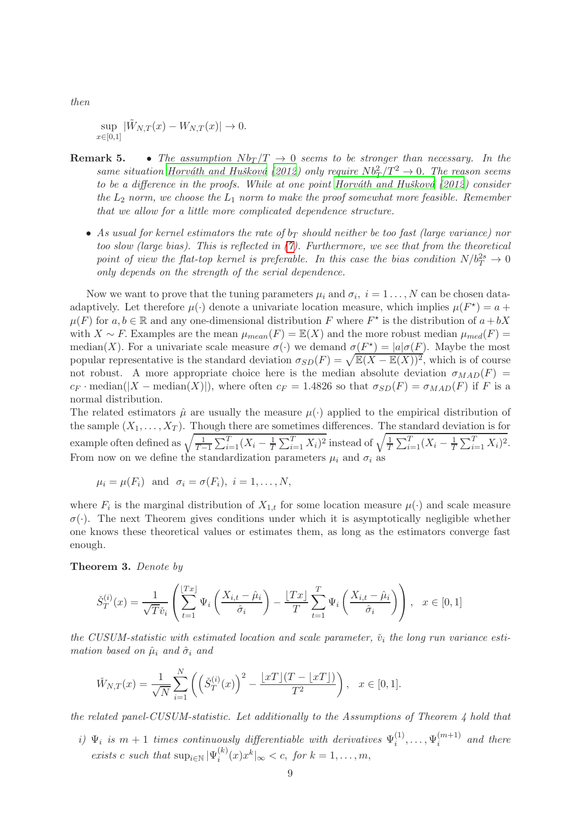then

sup  $\sup_{x \in [0,1]} |\tilde{W}_{N,T}(x) - W_{N,T}(x)| \to 0.$ 

- **Remark 5.** The assumption  $Nb_T/T \rightarrow 0$  seems to be stronger than necessary. In the same situation Horváth and Hušková (2012) only require  $Nb_T^2/T^2 \rightarrow 0$ . The reason seems to be a difference in the proofs. While at one point Horváth and Hušková  $(2012)$  consider the  $L_2$  norm, we choose the  $L_1$  norm to make the proof somewhat more feasible. Remember that we allow for a little more complicated dependence structure.
	- As usual for kernel estimators the rate of  $b_T$  should neither be too fast (large variance) nor too slow (large bias). This is reflected in [\(7\)](#page-7-0). Furthermore, we see that from the theoretical point of view the flat-top kernel is preferable. In this case the bias condition  $N/b_T^{2s} \to 0$ only depends on the strength of the serial dependence.

Now we want to prove that the tuning parameters  $\mu_i$  and  $\sigma_i$ ,  $i = 1 \dots, N$  can be chosen dataadaptively. Let therefore  $\mu(\cdot)$  denote a univariate location measure, which implies  $\mu(F^*) = a +$  $\mu(F)$  for  $a, b \in \mathbb{R}$  and any one-dimensional distribution F where  $F^*$  is the distribution of  $a + bX$ with  $X \sim F$ . Examples are the mean  $\mu_{mean}(F) = \mathbb{E}(X)$  and the more robust median  $\mu_{med}(F) =$ median(X). For a univariate scale measure  $\sigma(\cdot)$  we demand  $\sigma(F^*) = |a|\sigma(F)$ . Maybe the most popular representative is the standard deviation  $\sigma_{SD}(F) = \sqrt{\mathbb{E}(X - \mathbb{E}(X))^2}$ , which is of course not robust. A more appropriate choice here is the median absolute deviation  $\sigma_{MAD}(F)$  =  $c_F \cdot \text{median}(|X - \text{median}(X)|)$ , where often  $c_F = 1.4826$  so that  $\sigma_{SD}(F) = \sigma_{MAD}(F)$  if F is a normal distribution.

The related estimators  $\hat{\mu}$  are usually the measure  $\mu(\cdot)$  applied to the empirical distribution of the sample  $(X_1, \ldots, X_T)$ . Though there are sometimes differences. The standard deviation is for example often defined as  $\sqrt{\frac{1}{T-1}}$  $\frac{1}{T-1}\sum_{i=1}^{T}(X_i - \frac{1}{T})$  $\frac{1}{T} \sum_{i=1}^{T} X_i$ <sup>2</sup> instead of  $\sqrt{\frac{1}{T}}$  $\frac{1}{T} \sum_{i=1}^{T} (X_i - \frac{1}{T})$  $\frac{1}{T} \sum_{i=1}^{T} X_i$ )<sup>2</sup>. From now on we define the standardization parameters  $\mu_i$  and  $\sigma_i$  as

$$
\mu_i = \mu(F_i)
$$
 and  $\sigma_i = \sigma(F_i)$ ,  $i = 1, ..., N$ ,

where  $F_i$  is the marginal distribution of  $X_{1,t}$  for some location measure  $\mu(\cdot)$  and scale measure  $\sigma(\cdot)$ . The next Theorem gives conditions under which it is asymptotically negligible whether one knows these theoretical values or estimates them, as long as the estimators converge fast enough.

<span id="page-8-0"></span>Theorem 3. Denote by

$$
\check{S}_T^{(i)}(x) = \frac{1}{\sqrt{T}\check{v}_i} \left( \sum_{t=1}^{\lfloor Tx \rfloor} \Psi_i \left( \frac{X_{i,t} - \hat{\mu}_i}{\hat{\sigma}_i} \right) - \frac{\lfloor Tx \rfloor}{T} \sum_{t=1}^T \Psi_i \left( \frac{X_{i,t} - \hat{\mu}_i}{\hat{\sigma}_i} \right) \right), \quad x \in [0,1]
$$

the CUSUM-statistic with estimated location and scale parameter,  $\check{v}_i$  the long run variance estimation based on  $\hat{\mu}_i$  and  $\hat{\sigma}_i$  and

$$
\tilde{W}_{N,T}(x) = \frac{1}{\sqrt{N}} \sum_{i=1}^{N} \left( \left( \tilde{S}_T^{(i)}(x) \right)^2 - \frac{\lfloor xT \rfloor (T - \lfloor xT \rfloor)}{T^2} \right), \quad x \in [0,1].
$$

the related panel-CUSUM-statistic. Let additionally to the Assumptions of Theorem 4 hold that

i)  $\Psi_i$  is  $m+1$  times continuously differentiable with derivatives  $\Psi_i^{(1)}$  $\mathfrak{y}_{i}^{(1)}, \ldots, \mathfrak{y}_{i}^{(m+1)}$  $\binom{m+1}{i}$  and there exists c such that  $\sup_{i \in \mathbb{N}} |\Psi_i^{(k)}|$  $\int_{i}^{(k)} (x) x^{k} |_{\infty} < c, \text{ for } k = 1, \ldots, m,$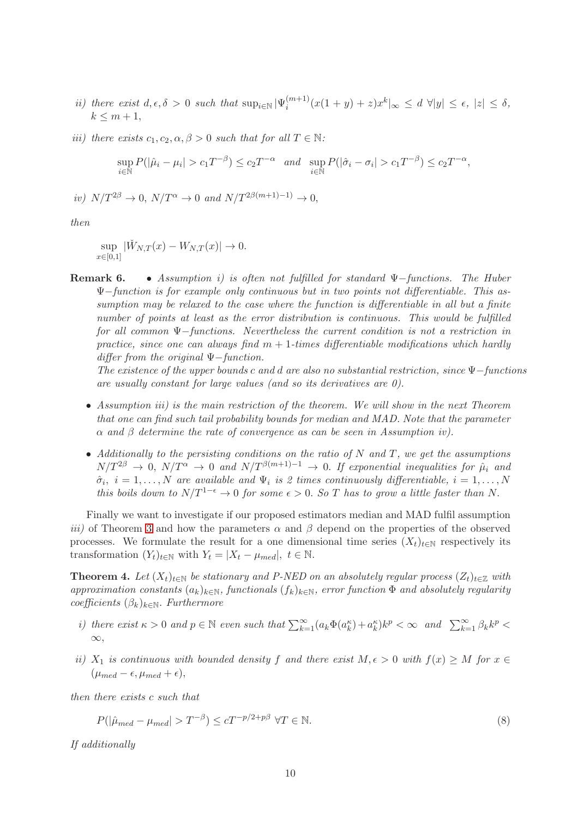- ii) there exist  $d, \epsilon, \delta > 0$  such that  $\sup_{i \in \mathbb{N}} |\Psi_i^{(m+1)}|$  $\int_{i}^{(m+1)} (x(1+y) + z)x^{k}|_{\infty} \leq d \forall |y| \leq \epsilon, |z| \leq \delta,$  $k \leq m+1$ ,
- iii) there exists  $c_1, c_2, \alpha, \beta > 0$  such that for all  $T \in \mathbb{N}$ :

$$
\sup_{i\in\mathbb{N}} P(|\hat{\mu}_i - \mu_i| > c_1 T^{-\beta}) \le c_2 T^{-\alpha} \quad \text{and} \quad \sup_{i\in\mathbb{N}} P(|\hat{\sigma}_i - \sigma_i| > c_1 T^{-\beta}) \le c_2 T^{-\alpha},
$$

iv)  $N/T^{2\beta} \to 0$ ,  $N/T^{\alpha} \to 0$  and  $N/T^{2\beta(m+1)-1} \to 0$ ,

then

$$
\sup_{x \in [0,1]} |\check{W}_{N,T}(x) - W_{N,T}(x)| \to 0.
$$

**Remark 6.** • Assumption i) is often not fulfilled for standard  $\Psi$ -functions. The Huber Ψ−function is for example only continuous but in two points not differentiable. This assumption may be relaxed to the case where the function is differentiable in all but a finite number of points at least as the error distribution is continuous. This would be fulfilled for all common Ψ−functions. Nevertheless the current condition is not a restriction in practice, since one can always find  $m + 1$ -times differentiable modifications which hardly differ from the original  $\Psi$ −function.

The existence of the upper bounds c and d are also no substantial restriction, since  $\Psi$ -functions are usually constant for large values (and so its derivatives are 0).

- Assumption iii) is the main restriction of the theorem. We will show in the next Theorem that one can find such tail probability bounds for median and MAD. Note that the parameter  $\alpha$  and  $\beta$  determine the rate of convergence as can be seen in Assumption iv).
- Additionally to the persisting conditions on the ratio of  $N$  and  $T$ , we get the assumptions  $N/T^{2\beta} \rightarrow 0$ ,  $N/T^{\alpha} \rightarrow 0$  and  $N/T^{\beta(m+1)-1} \rightarrow 0$ . If exponential inequalities for  $\mu_i$  and  $\hat{\sigma}_i$ ,  $i = 1, \ldots, N$  are available and  $\Psi_i$  is 2 times continuously differentiable,  $i = 1, \ldots, N$ this boils down to  $N/T^{1-\epsilon} \to 0$  for some  $\epsilon > 0$ . So T has to grow a little faster than N.

Finally we want to investigate if our proposed estimators median and MAD fulfil assumption iii) of Theorem [3](#page-8-0) and how the parameters  $\alpha$  and  $\beta$  depend on the properties of the observed processes. We formulate the result for a one dimensional time series  $(X_t)_{t\in\mathbb{N}}$  respectively its transformation  $(Y_t)_{t \in \mathbb{N}}$  with  $Y_t = |X_t - \mu_{med}|, t \in \mathbb{N}$ .

**Theorem 4.** Let  $(X_t)_{t\in\mathbb{N}}$  be stationary and P-NED on an absolutely regular process  $(Z_t)_{t\in\mathbb{Z}}$  with approximation constants  $(a_k)_{k\in\mathbb{N}}$ , functionals  $(f_k)_{k\in\mathbb{N}}$ , error function  $\Phi$  and absolutely regularity coefficients  $(\beta_k)_{k \in \mathbb{N}}$ . Furthermore

- i) there exist  $\kappa > 0$  and  $p \in \mathbb{N}$  even such that  $\sum_{k=1}^{\infty} (a_k \Phi(a_k^{\kappa}) + a_k^{\kappa}) k^p < \infty$  and  $\sum_{k=1}^{\infty} \beta_k k^p <$  $\infty$ ,
- ii)  $X_1$  is continuous with bounded density f and there exist  $M, \epsilon > 0$  with  $f(x) \geq M$  for  $x \in$  $(\mu_{med} - \epsilon, \mu_{med} + \epsilon),$

then there exists c such that

<span id="page-9-0"></span>
$$
P(|\hat{\mu}_{med} - \mu_{med}| > T^{-\beta}) \le cT^{-p/2 + p\beta} \ \forall T \in \mathbb{N}.
$$

If additionally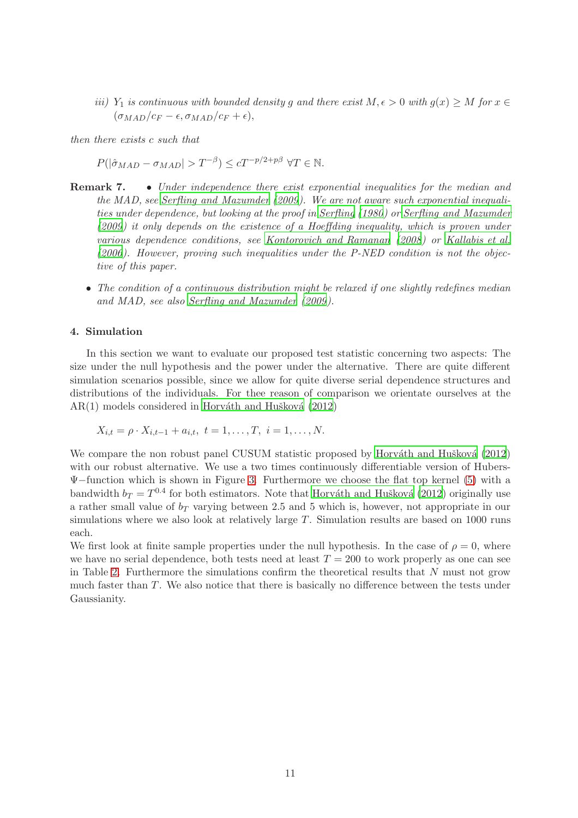iii) Y<sub>1</sub> is continuous with bounded density g and there exist  $M, \epsilon > 0$  with  $g(x) \ge M$  for  $x \in$  $(\sigma_{MAD}/c_F - \epsilon, \sigma_{MAD}/c_F + \epsilon),$ 

then there exists c such that

 $P(|\hat{\sigma}_{MAD} - \sigma_{MAD}| > T^{-\beta}) \le cT^{-p/2+p\beta} \ \forall T \in \mathbb{N}.$ 

- Remark 7. Under independence there exist exponential inequalities for the median and the MAD, see [Serfling and Mazumder \(2009](#page-15-12)). We are not aware such exponential inequalities under dependence, but looking at the proof in [Serfling \(1980](#page-15-13)) or [Serfling and Mazumder](#page-15-12) [\(2009\)](#page-15-12) it only depends on the existence of a Hoeffding inequality, which is proven under various dependence conditions, see [Kontorovich and Ramanan \(2008\)](#page-15-14) or [Kallabis et al.](#page-15-15) [\(2006\)](#page-15-15). However, proving such inequalities under the P-NED condition is not the objective of this paper.
	- The condition of a continuous distribution might be relaxed if one slightly redefines median and MAD, see also [Serfling and Mazumder \(2009](#page-15-12)).

### 4. Simulation

In this section we want to evaluate our proposed test statistic concerning two aspects: The size under the null hypothesis and the power under the alternative. There are quite different simulation scenarios possible, since we allow for quite diverse serial dependence structures and distributions of the individuals. For thee reason of comparison we orientate ourselves at the  $AR(1)$  models considered in Horváth and Hušková (2012)

$$
X_{i,t} = \rho \cdot X_{i,t-1} + a_{i,t}, \ t = 1, \ldots, T, \ i = 1, \ldots, N.
$$

We compare the non robust panel CUSUM statistic proposed by Horváth and Hušková (2012) with our robust alternative. We use a two times continuously differentiable version of Hubers-Ψ−function which is shown in Figure [3.](#page-11-0) Furthermore we choose the flat top kernel [\(5\)](#page-4-0) with a bandwidth  $b_T = T^{0.4}$  for both estimators. Note that Horváth and Hušková (2012) originally use a rather small value of  $b_T$  varying between 2.5 and 5 which is, however, not appropriate in our simulations where we also look at relatively large  $T$ . Simulation results are based on 1000 runs each.

We first look at finite sample properties under the null hypothesis. In the case of  $\rho = 0$ , where we have no serial dependence, both tests need at least  $T = 200$  to work properly as one can see in Table [2.](#page-11-1) Furthermore the simulations confirm the theoretical results that  $N$  must not grow much faster than T. We also notice that there is basically no difference between the tests under Gaussianity.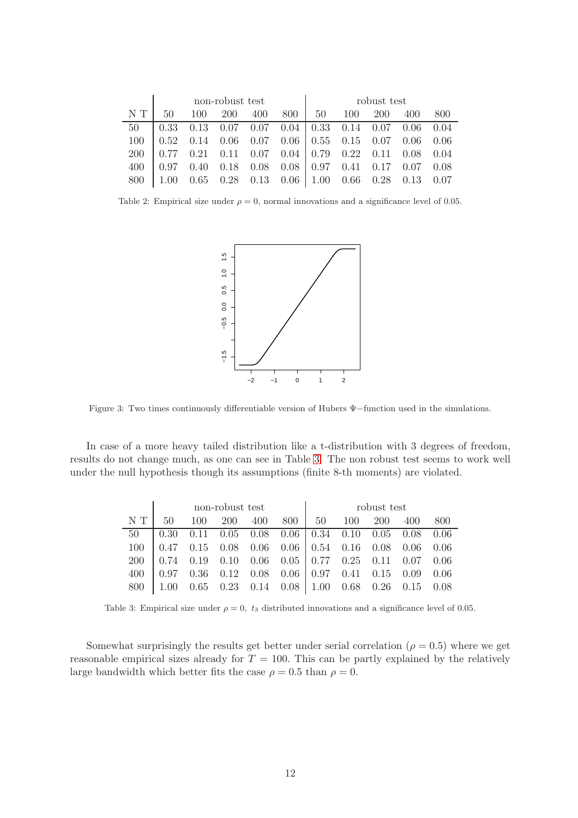|            | non-robust test |                                                                         |             |  |  | robust test |  |                      |  |     |
|------------|-----------------|-------------------------------------------------------------------------|-------------|--|--|-------------|--|----------------------|--|-----|
| N T        | $50-$           |                                                                         | 100 200 400 |  |  |             |  | 800   50 100 200 400 |  | 800 |
| 50         |                 | $0.33$ $0.13$ $0.07$ $0.07$ $0.04$   $0.33$ $0.14$ $0.07$ $0.06$ $0.04$ |             |  |  |             |  |                      |  |     |
|            |                 | $100$   $0.52$ 0.14 0.06 0.07 0.06   0.55 0.15 0.07 0.06 0.06           |             |  |  |             |  |                      |  |     |
| <b>200</b> |                 |                                                                         |             |  |  |             |  |                      |  |     |
| 400        |                 | $0.97$ $0.40$ $0.18$ $0.08$ $0.08$ $0.97$ $0.41$ $0.17$ $0.07$ $0.08$   |             |  |  |             |  |                      |  |     |
| 800 -      |                 | $\vert$ 1.00 0.65 0.28 0.13 0.06 1.00 0.66 0.28 0.13 0.07               |             |  |  |             |  |                      |  |     |

<span id="page-11-1"></span>Table 2: Empirical size under  $\rho = 0$ , normal innovations and a significance level of 0.05.



<span id="page-11-0"></span>Figure 3: Two times continuously differentiable version of Hubers Ψ−function used in the simulations.

In case of a more heavy tailed distribution like a t-distribution with 3 degrees of freedom, results do not change much, as one can see in Table [3.](#page-11-2) The non robust test seems to work well under the null hypothesis though its assumptions (finite 8-th moments) are violated.

|     | non-robust test |  |  |  |  | robust test |                                                                                                                 |  |  |     |  |
|-----|-----------------|--|--|--|--|-------------|-----------------------------------------------------------------------------------------------------------------|--|--|-----|--|
| N T | 50              |  |  |  |  |             | 100 200 400 800 50 100 200 400                                                                                  |  |  | 800 |  |
| 50  |                 |  |  |  |  |             | $\vert 0.30 \quad 0.11 \quad 0.05 \quad 0.08 \quad 0.06 \vert 0.34 \quad 0.10 \quad 0.05 \quad 0.08 \quad 0.06$ |  |  |     |  |
|     |                 |  |  |  |  |             | $100$   0.47 0.15 0.08 0.06 0.06   0.54 0.16 0.08 0.06 0.06                                                     |  |  |     |  |
|     |                 |  |  |  |  |             | $200$   0.74 0.19 0.10 0.06 0.05   0.77 0.25 0.11 0.07 0.06                                                     |  |  |     |  |
|     |                 |  |  |  |  |             | $400$   0.97 0.36 0.12 0.08 0.06   0.97 0.41 0.15 0.09 0.06                                                     |  |  |     |  |
| 800 |                 |  |  |  |  |             | $0.65$ $0.23$ $0.14$ $0.08$   1.00 $0.68$ $0.26$ $0.15$ $0.08$                                                  |  |  |     |  |

<span id="page-11-2"></span>Table 3: Empirical size under  $\rho = 0$ ,  $t_3$  distributed innovations and a significance level of 0.05.

Somewhat surprisingly the results get better under serial correlation ( $\rho = 0.5$ ) where we get reasonable empirical sizes already for  $T = 100$ . This can be partly explained by the relatively large bandwidth which better fits the case  $\rho = 0.5$  than  $\rho = 0$ .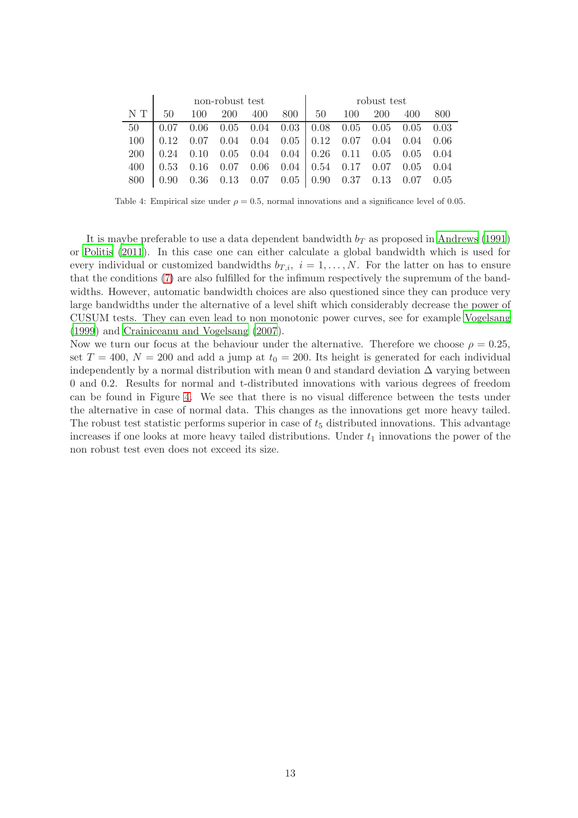|            | non-robust test |                                                                                                                 |  |         |  | robust test |     |            |     |     |
|------------|-----------------|-----------------------------------------------------------------------------------------------------------------|--|---------|--|-------------|-----|------------|-----|-----|
| N T        | 50              | 100                                                                                                             |  | 200 400 |  | 800   50    | 100 | <b>200</b> | 400 | 800 |
| 50         |                 | $0.07$ $0.06$ $0.05$ $0.04$ $0.03$   $0.08$ $0.05$ $0.05$ $0.05$ $0.03$                                         |  |         |  |             |     |            |     |     |
| 100        |                 | $\vert 0.12 \quad 0.07 \quad 0.04 \quad 0.04 \quad 0.05 \vert 0.12 \quad 0.07 \quad 0.04 \quad 0.04 \quad 0.06$ |  |         |  |             |     |            |     |     |
| <b>200</b> |                 | $0.24$ 0.10 0.05 0.04 0.04 0.26 0.11 0.05 0.05 0.04                                                             |  |         |  |             |     |            |     |     |
| 400        |                 | $0.53$ 0.16 0.07 0.06 0.04 0.54 0.17 0.07 0.05 0.04                                                             |  |         |  |             |     |            |     |     |
| 800        |                 | $0.90$ $0.36$ $0.13$ $0.07$ $0.05$ $0.90$ $0.37$ $0.13$ $0.07$ $0.05$                                           |  |         |  |             |     |            |     |     |

Table 4: Empirical size under  $\rho = 0.5$ , normal innovations and a significance level of 0.05.

It is maybe preferable to use a data dependent bandwidth  $b<sub>T</sub>$  as proposed in [Andrews \(1991](#page-14-15)) or [Politis \(2011](#page-15-16)). In this case one can either calculate a global bandwidth which is used for every individual or customized bandwidths  $b_{T,i}$ ,  $i = 1, \ldots, N$ . For the latter on has to ensure that the conditions [\(7\)](#page-7-0) are also fulfilled for the infimum respectively the supremum of the bandwidths. However, automatic bandwidth choices are also questioned since they can produce very large bandwidths under the alternative of a level shift which considerably decrease the power of CUSUM tests. They can even lead to non monotonic power curves, see for example [Vogelsang](#page-15-17) [\(1999](#page-15-17)) and [Crainiceanu and Vogelsang \(2007](#page-14-16)).

Now we turn our focus at the behaviour under the alternative. Therefore we choose  $\rho = 0.25$ , set  $T = 400$ ,  $N = 200$  and add a jump at  $t_0 = 200$ . Its height is generated for each individual independently by a normal distribution with mean 0 and standard deviation  $\Delta$  varying between 0 and 0.2. Results for normal and t-distributed innovations with various degrees of freedom can be found in Figure [4.](#page-13-0) We see that there is no visual difference between the tests under the alternative in case of normal data. This changes as the innovations get more heavy tailed. The robust test statistic performs superior in case of  $t<sub>5</sub>$  distributed innovations. This advantage increases if one looks at more heavy tailed distributions. Under  $t_1$  innovations the power of the non robust test even does not exceed its size.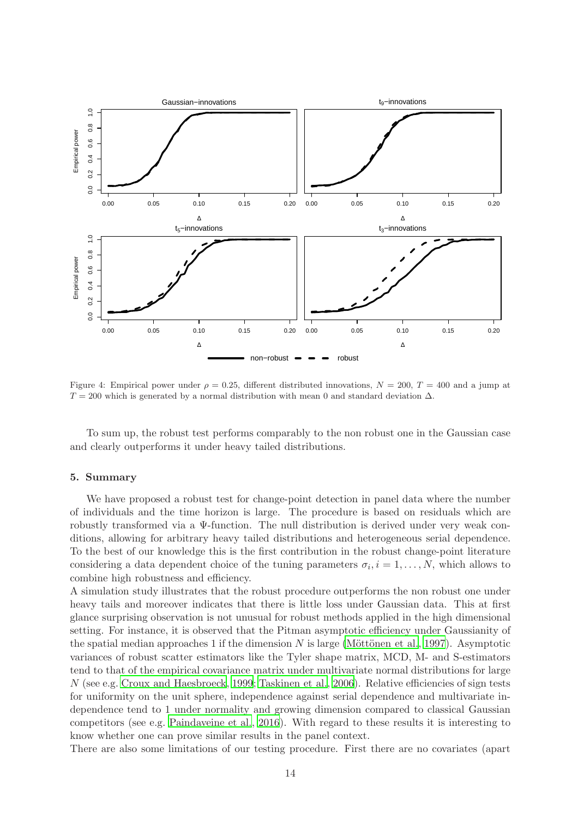

<span id="page-13-0"></span>Figure 4: Empirical power under  $\rho = 0.25$ , different distributed innovations,  $N = 200$ ,  $T = 400$  and a jump at  $T = 200$  which is generated by a normal distribution with mean 0 and standard deviation  $\Delta$ .

To sum up, the robust test performs comparably to the non robust one in the Gaussian case and clearly outperforms it under heavy tailed distributions.

### 5. Summary

We have proposed a robust test for change-point detection in panel data where the number of individuals and the time horizon is large. The procedure is based on residuals which are robustly transformed via a Ψ-function. The null distribution is derived under very weak conditions, allowing for arbitrary heavy tailed distributions and heterogeneous serial dependence. To the best of our knowledge this is the first contribution in the robust change-point literature considering a data dependent choice of the tuning parameters  $\sigma_i, i = 1, \ldots, N$ , which allows to combine high robustness and efficiency.

A simulation study illustrates that the robust procedure outperforms the non robust one under heavy tails and moreover indicates that there is little loss under Gaussian data. This at first glance surprising observation is not unusual for robust methods applied in the high dimensional setting. For instance, it is observed that the Pitman asymptotic efficiency under Gaussianity of the spatial median approaches 1 if the dimension  $N$  is large (Möttönen et al., 1997). Asymptotic variances of robust scatter estimators like the Tyler shape matrix, MCD, M- and S-estimators tend to that of the empirical covariance matrix under multivariate normal distributions for large N (see e.g. [Croux and Haesbroeck](#page-14-17), [1999;](#page-14-17) [Taskinen et al., 2006](#page-15-19)). Relative efficiencies of sign tests for uniformity on the unit sphere, independence against serial dependence and multivariate independence tend to 1 under normality and growing dimension compared to classical Gaussian competitors (see e.g. [Paindaveine et al.](#page-15-20), [2016\)](#page-15-20). With regard to these results it is interesting to know whether one can prove similar results in the panel context.

There are also some limitations of our testing procedure. First there are no covariates (apart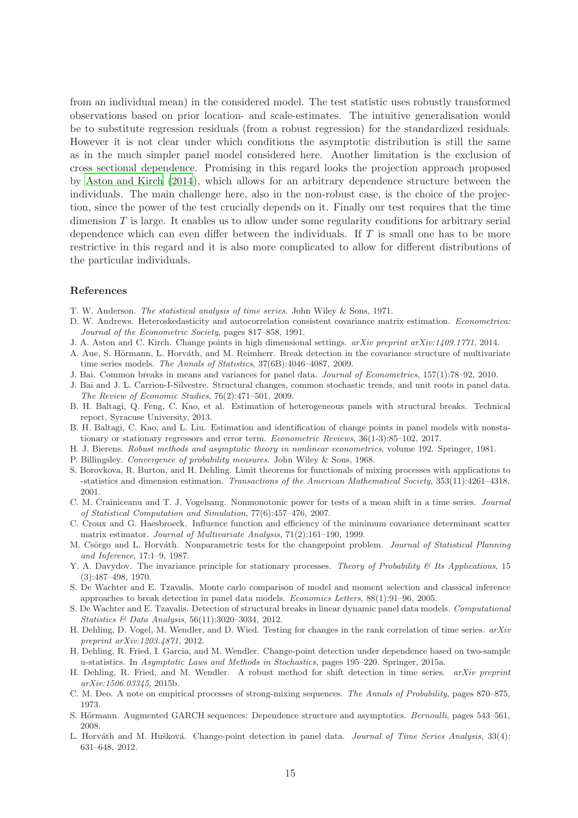from an individual mean) in the considered model. The test statistic uses robustly transformed observations based on prior location- and scale-estimates. The intuitive generalisation would be to substitute regression residuals (from a robust regression) for the standardized residuals. However it is not clear under which conditions the asymptotic distribution is still the same as in the much simpler panel model considered here. Another limitation is the exclusion of cross sectional dependence. Promising in this regard looks the projection approach proposed by [Aston and Kirch \(2014](#page-14-18)), which allows for an arbitrary dependence structure between the individuals. The main challenge here, also in the non-robust case, is the choice of the projection, since the power of the test crucially depends on it. Finally our test requires that the time dimension T is large. It enables us to allow under some regularity conditions for arbitrary serial dependence which can even differ between the individuals. If  $T$  is small one has to be more restrictive in this regard and it is also more complicated to allow for different distributions of the particular individuals.

#### References

- <span id="page-14-14"></span>T. W. Anderson. *The statistical analysis of time series*. John Wiley & Sons, 1971.
- <span id="page-14-15"></span>D. W. Andrews. Heteroskedasticity and autocorrelation consistent covariance matrix estimation. *Econometrica: Journal of the Econometric Society*, pages 817–858, 1991.
- <span id="page-14-18"></span>J. A. Aston and C. Kirch. Change points in high dimensional settings. *arXiv preprint arXiv:1409.1771*, 2014.
- <span id="page-14-12"></span>A. Aue, S. Hörmann, L. Horváth, and M. Reimherr. Break detection in the covariance structure of multivariate time series models. *The Annals of Statistics*, 37(6B):4046–4087, 2009.
- <span id="page-14-5"></span>J. Bai. Common breaks in means and variances for panel data. *Journal of Econometrics*, 157(1):78–92, 2010.
- <span id="page-14-0"></span>J. Bai and J. L. Carrion-I-Silvestre. Structural changes, common stochastic trends, and unit roots in panel data. *The Review of Economic Studies*, 76(2):471–501, 2009.
- <span id="page-14-1"></span>B. H. Baltagi, Q. Feng, C. Kao, et al. Estimation of heterogeneous panels with structural breaks. Technical report, Syracuse University, 2013.
- <span id="page-14-4"></span>B. H. Baltagi, C. Kao, and L. Liu. Estimation and identification of change points in panel models with nonstationary or stationary regressors and error term. *Econometric Reviews*, 36(1-3):85–102, 2017.
- <span id="page-14-13"></span>H. J. Bierens. *Robust methods and asymptotic theory in nonlinear econometrics*, volume 192. Springer, 1981.
- <span id="page-14-22"></span>P. Billingsley. *Convergence of probability measures*. John Wiley & Sons, 1968.
- <span id="page-14-21"></span>S. Borovkova, R. Burton, and H. Dehling. Limit theorems for functionals of mixing processes with applications to -statistics and dimension estimation. *Transactions of the American Mathematical Society*, 353(11):4261–4318, 2001.
- <span id="page-14-16"></span>C. M. Crainiceanu and T. J. Vogelsang. Nonmonotonic power for tests of a mean shift in a time series. *Journal of Statistical Computation and Simulation*, 77(6):457–476, 2007.
- <span id="page-14-17"></span>C. Croux and G. Haesbroeck. Influence function and efficiency of the minimum covariance determinant scatter matrix estimator. *Journal of Multivariate Analysis*, 71(2):161–190, 1999.
- <span id="page-14-6"></span>M. Csörgo and L. Horváth. Nonparametric tests for the changepoint problem. *Journal of Statistical Planning and Inference*, 17:1–9, 1987.
- <span id="page-14-19"></span>Y. A. Davydov. The invariance principle for stationary processes. *Theory of Probability & Its Applications*, 15 (3):487–498, 1970.
- <span id="page-14-2"></span>S. De Wachter and E. Tzavalis. Monte carlo comparison of model and moment selection and classical inference approaches to break detection in panel data models. *Economics Letters*, 88(1):91–96, 2005.
- <span id="page-14-3"></span>S. De Wachter and E. Tzavalis. Detection of structural breaks in linear dynamic panel data models. *Computational Statistics & Data Analysis*, 56(11):3020–3034, 2012.
- <span id="page-14-8"></span>H. Dehling, D. Vogel, M. Wendler, and D. Wied. Testing for changes in the rank correlation of time series. *arXiv preprint arXiv:1203.4871*, 2012.
- <span id="page-14-7"></span>H. Dehling, R. Fried, I. Garcia, and M. Wendler. Change-point detection under dependence based on two-sample u-statistics. In *Asymptotic Laws and Methods in Stochastics*, pages 195–220. Springer, 2015a.
- <span id="page-14-9"></span>H. Dehling, R. Fried, and M. Wendler. A robust method for shift detection in time series. *arXiv preprint arXiv:1506.03345*, 2015b.
- <span id="page-14-20"></span>C. M. Deo. A note on empirical processes of strong-mixing sequences. *The Annals of Probability*, pages 870–875, 1973.
- <span id="page-14-11"></span>S. Hörmann. Augmented GARCH sequences: Dependence structure and asymptotics. *Bernoulli*, pages 543–561, 2008.
- <span id="page-14-10"></span>L. Horváth and M. Hušková. Change-point detection in panel data. *Journal of Time Series Analysis*, 33(4): 631–648, 2012.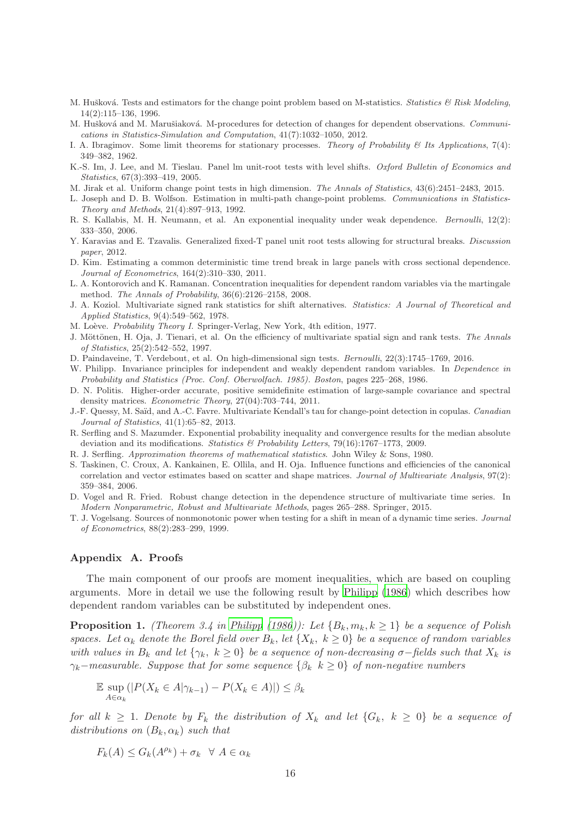- <span id="page-15-4"></span>M. Hušková. Tests and estimators for the change point problem based on M-statistics. *Statistics & Risk Modeling*, 14(2):115–136, 1996.
- <span id="page-15-9"></span>M. Hušková and M. Marušiaková. M-procedures for detection of changes for dependent observations. *Communications in Statistics-Simulation and Computation*, 41(7):1032–1050, 2012.
- <span id="page-15-11"></span>I. A. Ibragimov. Some limit theorems for stationary processes. *Theory of Probability & Its Applications*, 7(4): 349–382, 1962.
- <span id="page-15-0"></span>K.-S. Im, J. Lee, and M. Tieslau. Panel lm unit-root tests with level shifts. *Oxford Bulletin of Economics and Statistics*, 67(3):393–419, 2005.
- <span id="page-15-8"></span>M. Jirak et al. Uniform change point tests in high dimension. *The Annals of Statistics*, 43(6):2451–2483, 2015.
- <span id="page-15-2"></span>L. Joseph and D. B. Wolfson. Estimation in multi-path change-point problems. *Communications in Statistics-Theory and Methods*, 21(4):897–913, 1992.
- <span id="page-15-15"></span>R. S. Kallabis, M. H. Neumann, et al. An exponential inequality under weak dependence. *Bernoulli*, 12(2): 333–350, 2006.
- <span id="page-15-1"></span>Y. Karavias and E. Tzavalis. Generalized fixed-T panel unit root tests allowing for structural breaks. *Discussion paper*, 2012.
- <span id="page-15-3"></span>D. Kim. Estimating a common deterministic time trend break in large panels with cross sectional dependence. *Journal of Econometrics*, 164(2):310–330, 2011.
- <span id="page-15-14"></span>L. A. Kontorovich and K. Ramanan. Concentration inequalities for dependent random variables via the martingale method. *The Annals of Probability*, 36(6):2126–2158, 2008.
- <span id="page-15-5"></span>J. A. Koziol. Multivariate signed rank statistics for shift alternatives. *Statistics: A Journal of Theoretical and Applied Statistics*, 9(4):549–562, 1978.
- <span id="page-15-22"></span>M. Lo`eve. *Probability Theory I*. Springer-Verlag, New York, 4th edition, 1977.
- <span id="page-15-18"></span>J. Möttönen, H. Oja, J. Tienari, et al. On the efficiency of multivariate spatial sign and rank tests. The Annals *of Statistics*, 25(2):542–552, 1997.
- <span id="page-15-20"></span>D. Paindaveine, T. Verdebout, et al. On high-dimensional sign tests. *Bernoulli*, 22(3):1745–1769, 2016.
- <span id="page-15-10"></span>W. Philipp. Invariance principles for independent and weakly dependent random variables. In *Dependence in Probability and Statistics (Proc. Conf. Oberwolfach. 1985). Boston*, pages 225–268, 1986.
- <span id="page-15-16"></span>D. N. Politis. Higher-order accurate, positive semidefinite estimation of large-sample covariance and spectral density matrices. *Econometric Theory*, 27(04):703–744, 2011.
- <span id="page-15-6"></span>J.-F. Quessy, M. Sa¨ıd, and A.-C. Favre. Multivariate Kendall's tau for change-point detection in copulas. *Canadian Journal of Statistics*, 41(1):65–82, 2013.
- <span id="page-15-12"></span>R. Serfling and S. Mazumder. Exponential probability inequality and convergence results for the median absolute deviation and its modifications. *Statistics & Probability Letters*, 79(16):1767–1773, 2009.
- <span id="page-15-13"></span>R. J. Serfling. *Approximation theorems of mathematical statistics*. John Wiley & Sons, 1980.
- <span id="page-15-19"></span>S. Taskinen, C. Croux, A. Kankainen, E. Ollila, and H. Oja. Influence functions and efficiencies of the canonical correlation and vector estimates based on scatter and shape matrices. *Journal of Multivariate Analysis*, 97(2): 359–384, 2006.
- <span id="page-15-7"></span>D. Vogel and R. Fried. Robust change detection in the dependence structure of multivariate time series. In *Modern Nonparametric, Robust and Multivariate Methods*, pages 265–288. Springer, 2015.
- <span id="page-15-17"></span>T. J. Vogelsang. Sources of nonmonotonic power when testing for a shift in mean of a dynamic time series. *Journal of Econometrics*, 88(2):283–299, 1999.

### Appendix A. Proofs

The main component of our proofs are moment inequalities, which are based on coupling arguments. More in detail we use the following result by [Philipp \(1986\)](#page-15-10) which describes how dependent random variables can be substituted by independent ones.

<span id="page-15-21"></span>**Proposition 1.** (Theorem 3.4 in [Philipp \(1986\)](#page-15-10)): Let  $\{B_k, m_k, k \geq 1\}$  be a sequence of Polish spaces. Let  $\alpha_k$  denote the Borel field over  $B_k$ , let  $\{X_k, k \geq 0\}$  be a sequence of random variables with values in  $B_k$  and let  $\{\gamma_k, k \geq 0\}$  be a sequence of non-decreasing  $\sigma$ -fields such that  $X_k$  is  $\gamma_k$ −measurable. Suppose that for some sequence { $\beta_k$  k ≥ 0} of non-negative numbers

$$
\mathbb{E} \sup_{A \in \alpha_k} (|P(X_k \in A | \gamma_{k-1}) - P(X_k \in A)|) \le \beta_k
$$

for all  $k \geq 1$ . Denote by  $F_k$  the distribution of  $X_k$  and let  $\{G_k, k \geq 0\}$  be a sequence of distributions on  $(B_k, \alpha_k)$  such that

$$
F_k(A) \le G_k(A^{\rho_k}) + \sigma_k \quad \forall \ A \in \alpha_k
$$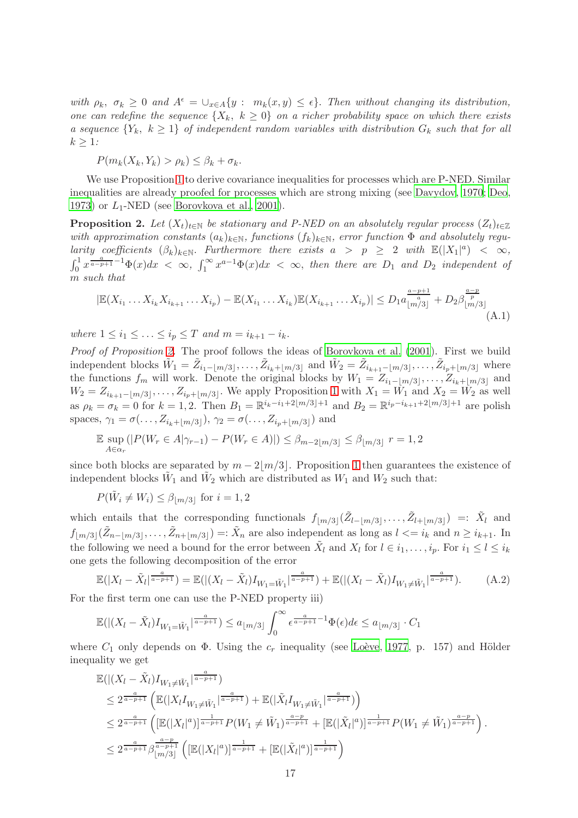with  $\rho_k$ ,  $\sigma_k \geq 0$  and  $A^{\epsilon} = \bigcup_{x \in A} \{y : m_k(x, y) \leq \epsilon\}$ . Then without changing its distribution, one can redefine the sequence  $\{X_k, k \geq 0\}$  on a richer probability space on which there exists a sequence  ${Y_k, k \geq 1}$  of independent random variables with distribution  $G_k$  such that for all  $k > 1$ :

 $P(m_k(X_k, Y_k) > \rho_k) \leq \beta_k + \sigma_k$ .

We use Proposition [1](#page-15-21) to derive covariance inequalities for processes which are P-NED. Similar inequalities are already proofed for processes which are strong mixing (see [Davydov](#page-14-19), [1970](#page-14-19); [Deo](#page-14-20), [1973\)](#page-14-20) or  $L_1$ -NED (see [Borovkova et al., 2001](#page-14-21)).

<span id="page-16-0"></span>**Proposition 2.** Let  $(X_t)_{t\in\mathbb{N}}$  be stationary and P-NED on an absolutely regular process  $(Z_t)_{t\in\mathbb{Z}}$ with approximation constants  $(a_k)_{k\in\mathbb{N}}$ , functions  $(f_k)_{k\in\mathbb{N}}$ , error function  $\Phi$  and absolutely regularity coefficients  $(\beta_k)_{k\in\mathbb{N}}$ . Furthermore there exists  $a > p \geq 2$  with  $\mathbb{E}(|X_1|^a) < \infty$ ,  $\int_0^1 x^{\frac{a}{a-p+1}-1} \Phi(x) dx < \infty$ ,  $\int_1^\infty x^{a-1} \Phi(x) dx < \infty$ , then there are  $D_1$  and  $D_2$  independent of m such that

<span id="page-16-2"></span>
$$
|\mathbb{E}(X_{i_1}\dots X_{i_k}X_{i_{k+1}}\dots X_{i_p}) - \mathbb{E}(X_{i_1}\dots X_{i_k})\mathbb{E}(X_{i_{k+1}}\dots X_{i_p})| \le D_1 a_{\lfloor m/3 \rfloor}^{\frac{a-p+1}{a}} + D_2 \beta_{\lfloor m/3 \rfloor}^{\frac{a-p}{p}}\tag{A.1}
$$

where  $1 \leq i_1 \leq \ldots \leq i_p \leq T$  and  $m = i_{k+1} - i_k$ .

Proof of Proposition [2.](#page-16-0) The proof follows the ideas of [Borovkova et al. \(2001](#page-14-21)). First we build independent blocks  $\tilde{W}_1 = \tilde{Z}_{i_1 - \lfloor m/3 \rfloor}, \ldots, \tilde{Z}_{i_k + \lfloor m/3 \rfloor}$  and  $\tilde{W}_2 = \tilde{Z}_{i_{k+1} - \lfloor m/3 \rfloor}, \ldots, \tilde{Z}_{i_p + \lfloor m/3 \rfloor}$  where the functions  $f_m$  will work. Denote the original blocks by  $W_1 = Z_{i_1 - \lfloor m/3 \rfloor}, \ldots, Z_{i_k + \lfloor m/3 \rfloor}$  and  $W_2 = Z_{i_{k+1}-\lfloor m/3 \rfloor}, \ldots, Z_{i_p+\lfloor m/3 \rfloor}$ . We apply Proposition [1](#page-15-21) with  $X_1 = W_1$  and  $X_2 = W_2$  as well as  $\rho_k = \sigma_k = 0$  for  $k = 1, 2$ . Then  $B_1 = \mathbb{R}^{i_k - i_1 + 2\lfloor m/3 \rfloor + 1}$  and  $B_2 = \mathbb{R}^{i_p - i_{k+1} + 2\lfloor m/3 \rfloor + 1}$  are polish spaces,  $\gamma_1 = \sigma(\ldots, Z_{i_k + \lfloor m/3 \rfloor}), \, \gamma_2 = \sigma(\ldots, Z_{i_p + \lfloor m/3 \rfloor})$  and

$$
\mathbb{E} \sup_{A \in \alpha_r} (|P(W_r \in A | \gamma_{r-1}) - P(W_r \in A)|) \leq \beta_{m-2\lfloor m/3 \rfloor} \leq \beta_{\lfloor m/3 \rfloor} \ r = 1, 2
$$

since both blocks are separated by  $m - 2/m/3$ . Proposition [1](#page-15-21) then guarantees the existence of independent blocks  $\tilde{W}_1$  and  $\tilde{W}_2$  which are distributed as  $W_1$  and  $W_2$  such that:

$$
P(\tilde{W}_i \neq W_i) \leq \beta_{\lfloor m/3 \rfloor} \text{ for } i = 1, 2
$$

which entails that the corresponding functionals  $f_{\lfloor m/3 \rfloor}(\tilde{Z}_{l-\lfloor m/3 \rfloor}, \ldots, \tilde{Z}_{l+\lfloor m/3 \rfloor}) =: \tilde{X}_l$  and  $f_{\lfloor m/3\rfloor}(\tilde{Z}_{n-\lfloor m/3\rfloor},\ldots,\tilde{Z}_{n+\lfloor m/3\rfloor}) =: \tilde{X}_n$  are also independent as long as  $l \leq i_k$  and  $n \geq i_{k+1}$ . In the following we need a bound for the error between  $\tilde{X}_l$  and  $X_l$  for  $l \in i_1, \ldots, i_p$ . For  $i_1 \leq l \leq i_k$ one gets the following decomposition of the error

<span id="page-16-1"></span>
$$
\mathbb{E}(|X_l - \tilde{X}_l|^{\frac{a}{a-p+1}}) = \mathbb{E}(|(X_l - \tilde{X}_l)I_{W_1 = \tilde{W}_1}|^{\frac{a}{a-p+1}}) + \mathbb{E}(|(X_l - \tilde{X}_l)I_{W_1 \neq \tilde{W}_1}|^{\frac{a}{a-p+1}}).
$$
 (A.2)

For the first term one can use the P-NED property iii)

$$
\mathbb{E}(|(X_l - \tilde{X}_l)I_{W_1 = \tilde{W}_1}|^{\frac{a}{a-p+1}}) \le a_{\lfloor m/3 \rfloor} \int_0^\infty e^{\frac{a}{a-p+1} - 1} \Phi(\epsilon) d\epsilon \le a_{\lfloor m/3 \rfloor} \cdot C_1
$$

where  $C_1$  only depends on  $\Phi$ . Using the  $c_r$  inequality (see Loève, [1977](#page-15-22), p. 157) and Hölder inequality we get

$$
\mathbb{E}(|(X_{l} - \tilde{X}_{l})I_{W_{1} \neq \tilde{W}_{1}}|^{\frac{a}{a-p+1}})
$$
\n
$$
\leq 2^{\frac{a}{a-p+1}} \left( \mathbb{E}(|X_{l}I_{W_{1} \neq \tilde{W}_{1}}|^{\frac{a}{a-p+1}}) + \mathbb{E}(|\tilde{X}_{l}I_{W_{1} \neq \tilde{W}_{1}}|^{\frac{a}{a-p+1}}) \right)
$$
\n
$$
\leq 2^{\frac{a}{a-p+1}} \left( \left[ \mathbb{E}(|X_{l}|^{a})]^{\frac{1}{a-p+1}} P(W_{1} \neq \tilde{W}_{1})^{\frac{a-p}{a-p+1}} + \left[ \mathbb{E}(|\tilde{X}_{l}|^{a})]^{\frac{1}{a-p+1}} P(W_{1} \neq \tilde{W}_{1})^{\frac{a-p}{a-p+1}} \right) \right).
$$
\n
$$
\leq 2^{\frac{a}{a-p+1}} \beta^{\frac{a-p}{a-p+1}}_{[m/3]} \left( \left[ \mathbb{E}(|X_{l}|^{a})]^{\frac{1}{a-p+1}} + \left[ \mathbb{E}(|\tilde{X}_{l}|^{a})]^{\frac{1}{a-p+1}} \right) \right)
$$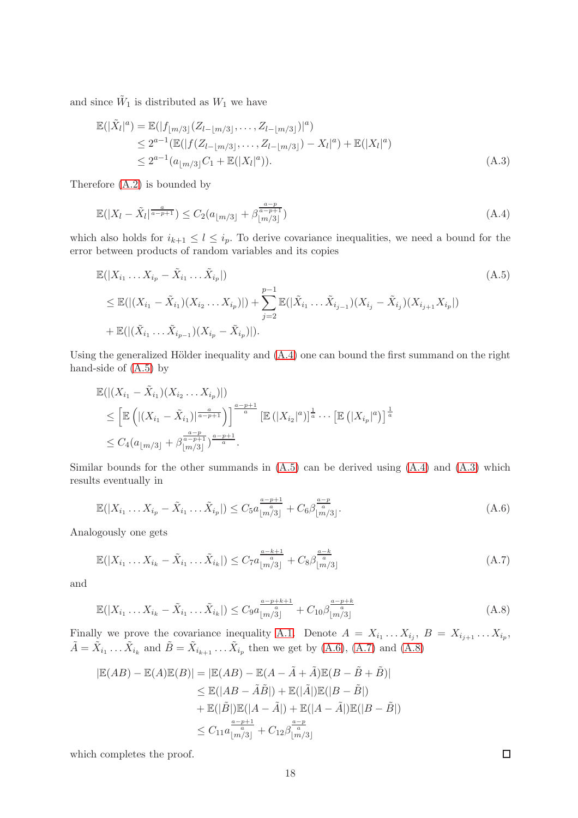and since  $\tilde{W}_1$  is distributed as  $W_1$  we have

<span id="page-17-2"></span>
$$
\mathbb{E}(|\tilde{X}_l|^a) = \mathbb{E}(|f_{\lfloor m/3 \rfloor}(Z_{l-\lfloor m/3 \rfloor}, \dots, Z_{l-\lfloor m/3 \rfloor})|^a) \n\le 2^{a-1} (\mathbb{E}(|f(Z_{l-\lfloor m/3 \rfloor}, \dots, Z_{l-\lfloor m/3 \rfloor}) - X_l|^a) + \mathbb{E}(|X_l|^a) \n\le 2^{a-1} (a_{\lfloor m/3 \rfloor} C_1 + \mathbb{E}(|X_l|^a)).
$$
\n(A.3)

Therefore [\(A.2\)](#page-16-1) is bounded by

<span id="page-17-0"></span>
$$
\mathbb{E}(|X_l - \tilde{X}_l|^{\frac{a}{a-p+1}}) \le C_2(a_{\lfloor m/3 \rfloor} + \beta_{\lfloor m/3 \rfloor}^{\frac{a-p}{a-p+1}})
$$
\n(A.4)

which also holds for  $i_{k+1} \leq l \leq i_p$ . To derive covariance inequalities, we need a bound for the error between products of random variables and its copies

<span id="page-17-1"></span>
$$
\mathbb{E}(|X_{i_1} \dots X_{i_p} - \tilde{X}_{i_1} \dots \tilde{X}_{i_p}|)
$$
\n
$$
\leq \mathbb{E}(|(X_{i_1} - \tilde{X}_{i_1})(X_{i_2} \dots X_{i_p})|) + \sum_{j=2}^{p-1} \mathbb{E}(|\tilde{X}_{i_1} \dots \tilde{X}_{i_{j-1}})(X_{i_j} - \tilde{X}_{i_j})(X_{i_{j+1}} X_{i_p}|)
$$
\n
$$
+ \mathbb{E}(|(\tilde{X}_{i_1} \dots \tilde{X}_{i_{p-1}})(X_{i_p} - \tilde{X}_{i_p})|).
$$
\n(A.5)

Using the generalized Hölder inequality and  $(A.4)$  one can bound the first summand on the right hand-side of [\(A.5\)](#page-17-1) by

$$
\mathbb{E}(|(X_{i_1} - \tilde{X}_{i_1})(X_{i_2} ... X_{i_p})|)
$$
\n
$$
\leq \left[ \mathbb{E} \left( |(X_{i_1} - \tilde{X}_{i_1})|^{\frac{a}{a-p+1}} \right) \right]^{\frac{a-p+1}{a}} \left[ \mathbb{E} \left( |X_{i_2}|^a \right) \right]^{\frac{1}{a}} \cdots \left[ \mathbb{E} \left( |X_{i_p}|^a \right) \right]^{\frac{1}{a}}
$$
\n
$$
\leq C_4 (a_{\lfloor m/3 \rfloor} + \beta_{\lfloor m/3 \rfloor}^{\frac{a-p}{a-p+1}})^{\frac{a-p+1}{a}}.
$$

Similar bounds for the other summands in  $(A.5)$  can be derived using  $(A.4)$  and  $(A.3)$  which results eventually in

<span id="page-17-3"></span>
$$
\mathbb{E}(|X_{i_1}\dots X_{i_p} - \tilde{X}_{i_1}\dots \tilde{X}_{i_p}|) \leq C_5 a \frac{a-p+1}{\lfloor m/3 \rfloor} + C_6 \beta \frac{a-p}{\lfloor m/3 \rfloor}.
$$
\n(A.6)

Analogously one gets

<span id="page-17-4"></span>
$$
\mathbb{E}(|X_{i_1} \dots X_{i_k} - \tilde{X}_{i_1} \dots \tilde{X}_{i_k}|) \leq C_7 a \frac{a - k + 1}{\lfloor m/3 \rfloor} + C_8 \beta \frac{a - k}{\lfloor m/3 \rfloor} \tag{A.7}
$$

and

<span id="page-17-5"></span>
$$
\mathbb{E}(|X_{i_1}\dots X_{i_k} - \tilde{X}_{i_1}\dots \tilde{X}_{i_k}|) \leq C_9 a \frac{a-p+k+1}{\lfloor m/3 \rfloor} + C_{10} \beta \frac{a-p+k}{\lfloor m/3 \rfloor} \tag{A.8}
$$

Finally we prove the covariance inequality [A.1.](#page-16-2) Denote  $A = X_{i_1} \dots X_{i_j}$ ,  $B = X_{i_{j+1}} \dots X_{i_p}$ ,  $\tilde{A} = \tilde{X}_{i_1} \dots \tilde{X}_{i_k}$  and  $\tilde{B} = \tilde{X}_{i_{k+1}} \dots \tilde{X}_{i_p}$  then we get by [\(A.6\)](#page-17-3), [\(A.7\)](#page-17-4) and [\(A.8\)](#page-17-5)

$$
|\mathbb{E}(AB) - \mathbb{E}(A)\mathbb{E}(B)| = |\mathbb{E}(AB) - \mathbb{E}(A - \tilde{A} + \tilde{A})\mathbb{E}(B - \tilde{B} + \tilde{B})|
$$
  
\n
$$
\leq \mathbb{E}(|AB - \tilde{A}\tilde{B}|) + \mathbb{E}(|\tilde{A}|)\mathbb{E}(|B - \tilde{B}|)
$$
  
\n
$$
+ \mathbb{E}(|\tilde{B}|)\mathbb{E}(|A - \tilde{A}|) + \mathbb{E}(|A - \tilde{A}|)\mathbb{E}(|B - \tilde{B}|)
$$
  
\n
$$
\leq C_{11}a_{\lfloor m/3 \rfloor}^{\frac{a-p+1}{a}} + C_{12}\beta_{\lfloor m/3 \rfloor}^{\frac{a-p}{a}}
$$

which completes the proof.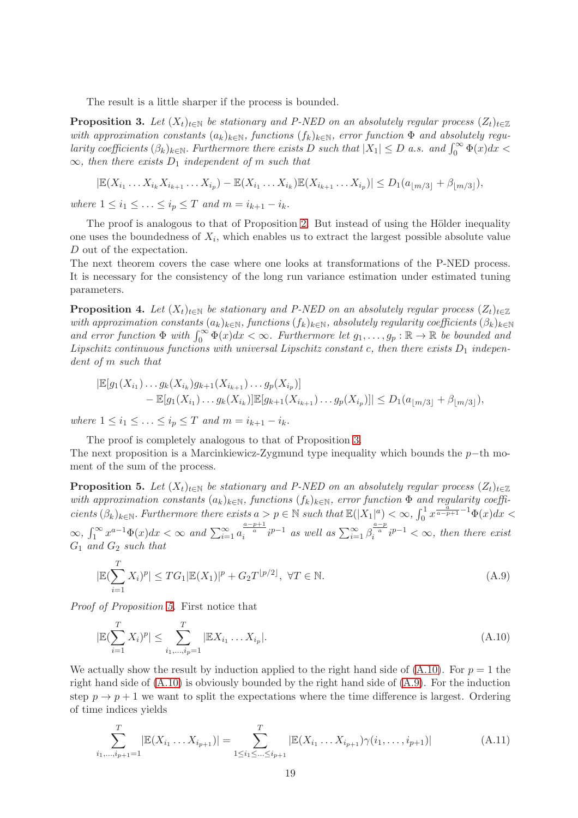The result is a little sharper if the process is bounded.

<span id="page-18-0"></span>**Proposition 3.** Let  $(X_t)_{t\in\mathbb{N}}$  be stationary and P-NED on an absolutely regular process  $(Z_t)_{t\in\mathbb{Z}}$ with approximation constants  $(a_k)_{k\in\mathbb{N}}$ , functions  $(f_k)_{k\in\mathbb{N}}$ , error function  $\Phi$  and absolutely regularity coefficients  $(\beta_k)_{k \in \mathbb{N}}$ . Furthermore there exists D such that  $|X_1| \leq D$  a.s. and  $\int_0^\infty \Phi(x) dx$  $\infty$ , then there exists  $D_1$  independent of m such that

$$
|\mathbb{E}(X_{i_1}\ldots X_{i_k}X_{i_{k+1}}\ldots X_{i_p}) - \mathbb{E}(X_{i_1}\ldots X_{i_k})\mathbb{E}(X_{i_{k+1}}\ldots X_{i_p})| \le D_1(a_{\lfloor m/3 \rfloor} + \beta_{\lfloor m/3 \rfloor}),
$$

where  $1 \le i_1 \le ... \le i_p \le T$  and  $m = i_{k+1} - i_k$ .

The proof is analogous to that of Proposition [2.](#page-16-0) But instead of using the Hölder inequality one uses the boundedness of  $X_i$ , which enables us to extract the largest possible absolute value D out of the expectation.

The next theorem covers the case where one looks at transformations of the P-NED process. It is necessary for the consistency of the long run variance estimation under estimated tuning parameters.

<span id="page-18-5"></span>**Proposition 4.** Let  $(X_t)_{t\in\mathbb{N}}$  be stationary and P-NED on an absolutely regular process  $(Z_t)_{t\in\mathbb{Z}}$ with approximation constants  $(a_k)_{k\in\mathbb{N}}$ , functions  $(f_k)_{k\in\mathbb{N}}$ , absolutely regularity coefficients  $(\beta_k)_{k\in\mathbb{N}}$ and error function  $\Phi$  with  $\int_0^\infty \Phi(x)dx < \infty$ . Furthermore let  $g_1, \ldots, g_p : \mathbb{R} \to \mathbb{R}$  be bounded and Lipschitz continuous functions with universal Lipschitz constant c, then there exists  $D_1$  independent of m such that

$$
|\mathbb{E}[g_1(X_{i_1})...g_k(X_{i_k})g_{k+1}(X_{i_{k+1}})...g_p(X_{i_p})] - \mathbb{E}[g_1(X_{i_1})...g_k(X_{i_k})]\mathbb{E}[g_{k+1}(X_{i_{k+1}})...g_p(X_{i_p})]| \le D_1(a_{\lfloor m/3 \rfloor} + \beta_{\lfloor m/3 \rfloor}),
$$

where  $1 \le i_1 \le ... \le i_n \le T$  and  $m = i_{k+1} - i_k$ .

The proof is completely analogous to that of Proposition [3.](#page-18-0)

The next proposition is a Marcinkiewicz-Zygmund type inequality which bounds the p−th moment of the sum of the process.

<span id="page-18-1"></span>**Proposition 5.** Let  $(X_t)_{t\in\mathbb{N}}$  be stationary and P-NED on an absolutely regular process  $(Z_t)_{t\in\mathbb{Z}}$ with approximation constants  $(a_k)_{k\in\mathbb{N}}$ , functions  $(f_k)_{k\in\mathbb{N}}$ , error function  $\Phi$  and regularity coefficients  $(\beta_k)_{k\in\mathbb{N}}$ . Furthermore there exists  $a > p \in \mathbb{N}$  such that  $\mathbb{E}(|X_1|^a) < \infty$ ,  $\int_0^1 x^{\frac{a}{a-p+1}-1} \Phi(x) dx <$  $\infty$ ,  $\int_1^\infty x^{a-1} \Phi(x) dx < \infty$  and  $\sum_{i=1}^\infty a$  $\int_{i}^{\frac{a-p+1}{a}} i^{p-1}$  as well as  $\sum_{i=1}^{\infty} \beta$  $\int_{i}^{\frac{a-p}{a}} i^{p-1} < \infty$ , then there exist  $G_1$  and  $G_2$  such that

<span id="page-18-3"></span>
$$
|\mathbb{E}(\sum_{i=1}^{T} X_i)^p| \le TG_1 |\mathbb{E}(X_1)|^p + G_2 T^{\lfloor p/2 \rfloor}, \ \forall T \in \mathbb{N}.
$$
 (A.9)

Proof of Proposition [5.](#page-18-1) First notice that

<span id="page-18-2"></span>
$$
|\mathbb{E}(\sum_{i=1}^{T} X_i)^p| \le \sum_{i_1, \dots, i_p=1}^{T} |\mathbb{E} X_{i_1} \dots X_{i_p}|.
$$
\n(A.10)

We actually show the result by induction applied to the right hand side of  $(A.10)$ . For  $p = 1$  the right hand side of  $(A.10)$  is obviously bounded by the right hand side of  $(A.9)$ . For the induction step  $p \to p+1$  we want to split the expectations where the time difference is largest. Ordering of time indices yields

<span id="page-18-4"></span>
$$
\sum_{i_1,\dots,i_{p+1}=1}^T |\mathbb{E}(X_{i_1}\dots X_{i_{p+1}})| = \sum_{1 \le i_1 \le \dots \le i_{p+1}}^T |\mathbb{E}(X_{i_1}\dots X_{i_{p+1}})\gamma(i_1,\dots,i_{p+1})|
$$
(A.11)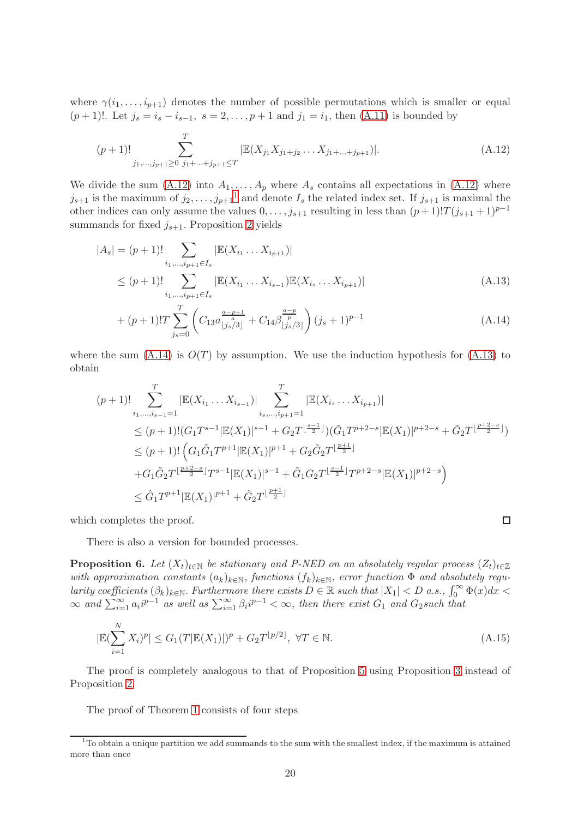where  $\gamma(i_1, \ldots, i_{p+1})$  denotes the number of possible permutations which is smaller or equal  $(p+1)!$ . Let  $j_s = i_s - i_{s-1}, s = 2, \ldots, p+1$  and  $j_1 = i_1$ , then  $(A.11)$  is bounded by

$$
(p+1)!\sum_{j_1,\dots,j_{p+1}\geq 0}^{T} \sum_{j_1+\dots+j_{p+1}\leq T} |\mathbb{E}(X_{j_1}X_{j_1+j_2}\dots X_{j_1+\dots+j_{p+1}})|. \tag{A.12}
$$

We divide the sum [\(A.12\)](#page-19-0) into  $A_1, \ldots, A_p$  where  $A_s$  contains all expectations in (A.12) where  $j_{s+1}$  $j_{s+1}$  $j_{s+1}$  is the maximum of  $j_2, \ldots, j_{p+1}$ <sup>1</sup> and denote  $I_s$  the related index set. If  $j_{s+1}$  is maximal the other indices can only assume the values  $0, \ldots, j_{s+1}$  resulting in less than  $(p+1)!T(j_{s+1}+1)^{p-1}$ summands for fixed  $j_{s+1}$ . Proposition [2](#page-16-0) yields

$$
|A_s| = (p+1)! \sum_{i_1, \dots, i_{p+1} \in I_s} |\mathbb{E}(X_{i_1} \dots X_{i_{p+1}})|
$$
  
\n
$$
\le (p+1)! \sum_{i_1, \dots, i_{p+1} \in I_s} |\mathbb{E}(X_{i_1} \dots X_{i_{s-1}})\mathbb{E}(X_{i_s} \dots X_{i_{p+1}})|
$$
\n(A.13)

+ 
$$
(p+1)!\n \sum_{j_s=0}^T \left( C_{13} a \frac{a-p+1}{\left|j_s/3\right|} + C_{14} \beta \frac{a-p}{\left|j_s/3\right|} \right) (j_s+1)^{p-1}
$$
 (A.14)

where the sum  $(A.14)$  is  $O(T)$  by assumption. We use the induction hypothesis for  $(A.13)$  to obtain

$$
(p+1)!\sum_{i_1,\dots,i_{s-1}=1}^{T} |\mathbb{E}(X_{i_1}\dots X_{i_{s-1}})| \sum_{i_s,\dots,i_{p+1}=1}^{T} |\mathbb{E}(X_{i_s}\dots X_{i_{p+1}})|
$$
  
\n
$$
\leq (p+1)!(G_1T^{s-1}|\mathbb{E}(X_1)|^{s-1} + G_2T^{\lfloor \frac{s-1}{2} \rfloor})(\tilde{G}_1T^{p+2-s}|\mathbb{E}(X_1)|^{p+2-s} + \tilde{G}_2T^{\lfloor \frac{p+2-s}{2} \rfloor})
$$
  
\n
$$
\leq (p+1)!\left(G_1\tilde{G}_1T^{p+1}|\mathbb{E}(X_1)|^{p+1} + G_2\tilde{G}_2T^{\lfloor \frac{p+1}{2} \rfloor}
$$
  
\n
$$
+G_1\tilde{G}_2T^{\lfloor \frac{p+2-s}{2} \rfloor}T^{s-1}|\mathbb{E}(X_1)|^{s-1} + \tilde{G}_1G_2T^{\lfloor \frac{s-1}{2} \rfloor}T^{p+2-s}|\mathbb{E}(X_1)|^{p+2-s}
$$
  
\n
$$
\leq \hat{G}_1T^{p+1}|\mathbb{E}(X_1)|^{p+1} + \hat{G}_2T^{\lfloor \frac{p+1}{2} \rfloor}
$$

<span id="page-19-3"></span><span id="page-19-2"></span><span id="page-19-0"></span> $\Box$ 

which completes the proof.

There is also a version for bounded processes.

<span id="page-19-4"></span>**Proposition 6.** Let  $(X_t)_{t\in\mathbb{N}}$  be stationary and P-NED on an absolutely regular process  $(Z_t)_{t\in\mathbb{Z}}$ with approximation constants  $(a_k)_{k\in\mathbb{N}}$ , functions  $(f_k)_{k\in\mathbb{N}}$ , error function  $\Phi$  and absolutely regularity coefficients  $(\beta_k)_{k\in\mathbb{N}}$ . Furthermore there exists  $D \in \mathbb{R}$  such that  $|X_1| < D$  a.s.,  $\int_0^\infty \Phi(x) dx <$  $\infty$  and  $\sum_{i=1}^{\infty} a_i i^{p-1}$  as well as  $\sum_{i=1}^{\infty} \beta_i i^{p-1} < \infty$ , then there exist  $G_1$  and  $G_2$ such that

$$
|\mathbb{E}(\sum_{i=1}^{N} X_i)^p| \le G_1(T|\mathbb{E}(X_1)|)^p + G_2T^{\lfloor p/2 \rfloor}, \ \forall T \in \mathbb{N}.
$$
\n(A.15)

The proof is completely analogous to that of Proposition [5](#page-18-1) using Proposition [3](#page-18-0) instead of Proposition [2.](#page-16-0)

The proof of Theorem [1](#page-6-0) consists of four steps

<span id="page-19-1"></span> $1^1$ To obtain a unique partition we add summands to the sum with the smallest index, if the maximum is attained more than once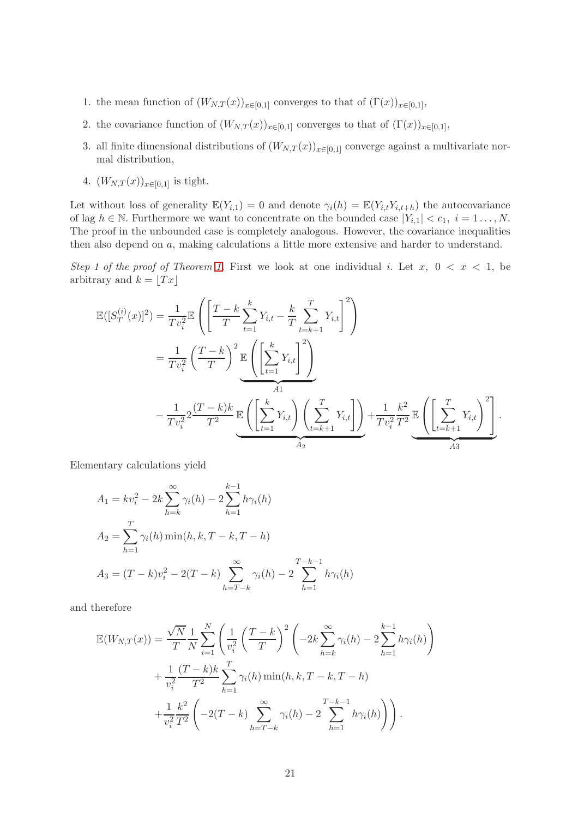- 1. the mean function of  $(W_{N,T}(x))_{x\in[0,1]}$  converges to that of  $(\Gamma(x))_{x\in[0,1]},$
- 2. the covariance function of  $(W_{N,T}(x))_{x\in[0,1]}$  converges to that of  $(\Gamma(x))_{x\in[0,1]},$
- 3. all finite dimensional distributions of  $(W_{N,T}(x))_{x\in[0,1]}$  converge against a multivariate normal distribution,
- 4.  $(W_{N,T}(x))_{x\in[0,1]}$  is tight.

Let without loss of generality  $\mathbb{E}(Y_{i,1}) = 0$  and denote  $\gamma_i(h) = \mathbb{E}(Y_{i,t}Y_{i,t+h})$  the autocovariance of lag  $h \in \mathbb{N}$ . Furthermore we want to concentrate on the bounded case  $|Y_{i,1}| < c_1, i = 1 \ldots, N$ . The proof in the unbounded case is completely analogous. However, the covariance inequalities then also depend on a, making calculations a little more extensive and harder to understand.

Step 1 of the proof of Theorem [1.](#page-6-0) First we look at one individual i. Let  $x, 0 < x < 1$ , be arbitrary and  $k = \lfloor Tx \rfloor$ 

$$
\mathbb{E}([S_T^{(i)}(x)]^2) = \frac{1}{Tv_i^2} \mathbb{E}\left(\left[\frac{T-k}{T}\sum_{t=1}^k Y_{i,t} - \frac{k}{T}\sum_{t=k+1}^T Y_{i,t}\right]^2\right)
$$
  
\n
$$
= \frac{1}{Tv_i^2} \left(\frac{T-k}{T}\right)^2 \mathbb{E}\left(\left[\sum_{t=1}^k Y_{i,t}\right]^2\right)
$$
  
\n
$$
- \frac{1}{Tv_i^2} 2\frac{(T-k)k}{T^2} \mathbb{E}\left(\left[\sum_{t=1}^k Y_{i,t}\right] \left(\sum_{t=k+1}^T Y_{i,t}\right]\right) + \frac{1}{Tv_i^2} \mathbb{E}\left(\left[\sum_{t=k+1}^T Y_{i,t}\right]^2\right].
$$

Elementary calculations yield

$$
A_1 = kv_i^2 - 2k \sum_{h=k}^{\infty} \gamma_i(h) - 2 \sum_{h=1}^{k-1} h \gamma_i(h)
$$
  
\n
$$
A_2 = \sum_{h=1}^{T} \gamma_i(h) \min(h, k, T - k, T - h)
$$
  
\n
$$
A_3 = (T - k)v_i^2 - 2(T - k) \sum_{h=T-k}^{\infty} \gamma_i(h) - 2 \sum_{h=1}^{T-k-1} h \gamma_i(h)
$$

and therefore

$$
\mathbb{E}(W_{N,T}(x)) = \frac{\sqrt{N}}{T} \frac{1}{N} \sum_{i=1}^{N} \left( \frac{1}{v_i^2} \left( \frac{T-k}{T} \right)^2 \left( -2k \sum_{h=k}^{\infty} \gamma_i(h) - 2 \sum_{h=1}^{k-1} h \gamma_i(h) \right) + \frac{1}{v_i^2} \frac{(T-k)k}{T^2} \sum_{h=1}^{T} \gamma_i(h) \min(h, k, T-k, T-h) + \frac{1}{v_i^2} \frac{k^2}{T^2} \left( -2(T-k) \sum_{h=T-k}^{\infty} \gamma_i(h) - 2 \sum_{h=1}^{T-k-1} h \gamma_i(h) \right) \right).
$$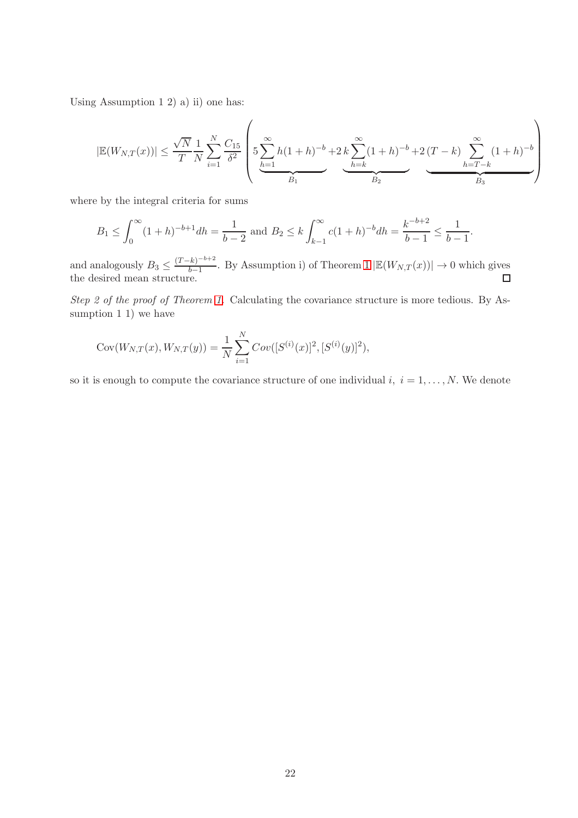Using Assumption 1 2) a) ii) one has:

$$
|\mathbb{E}(W_{N,T}(x))| \leq \frac{\sqrt{N}}{T} \frac{1}{N} \sum_{i=1}^{N} \frac{C_{15}}{\delta^2} \left( 5 \sum_{h=1}^{\infty} h(1+h)^{-b} + 2k \sum_{h=k}^{\infty} (1+h)^{-b} + 2(T-k) \sum_{h=T-k}^{\infty} (1+h)^{-b} \right)
$$

where by the integral criteria for sums

$$
B_1 \le \int_0^\infty (1+h)^{-b+1} dh = \frac{1}{b-2} \text{ and } B_2 \le k \int_{k-1}^\infty c(1+h)^{-b} dh = \frac{k^{-b+2}}{b-1} \le \frac{1}{b-1}.
$$

and analogously  $B_3 \leq \frac{(T-k)^{-b+2}}{b-1}$  $\frac{(k)^{-b+2}}{b-1}$ . By Assumption i) of Theorem [1](#page-6-0)  $|\mathbb{E}(W_{N,T}(x))| \to 0$  which gives the desired mean structure.

Step 2 of the proof of Theorem [1.](#page-6-0) Calculating the covariance structure is more tedious. By Assumption 1 1) we have

Cov
$$
(W_{N,T}(x), W_{N,T}(y)) = \frac{1}{N} \sum_{i=1}^{N} Cov([S^{(i)}(x)]^2, [S^{(i)}(y)]^2),
$$

so it is enough to compute the covariance structure of one individual  $i, i = 1, \ldots, N$ . We denote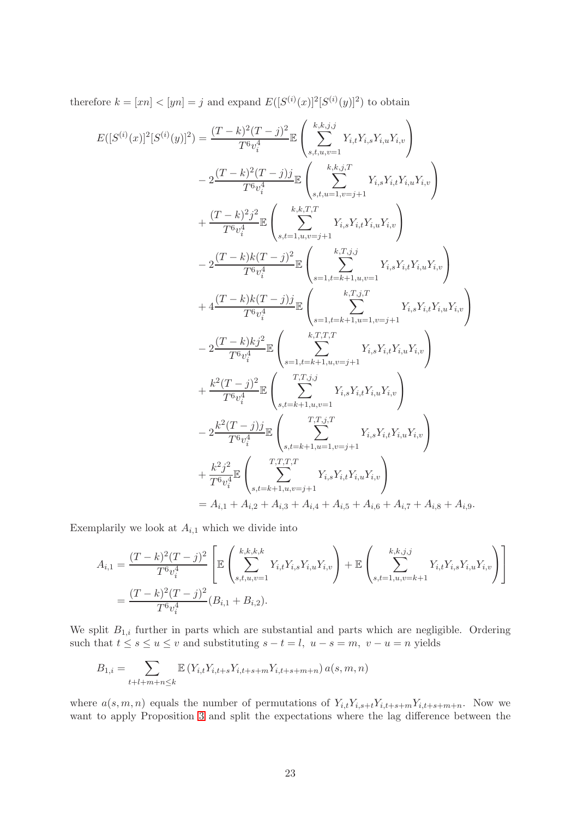therefore  $k = [xn] < [yn] = j$  and expand  $E([S^{(i)}(x)]^2[S^{(i)}(y)]^2)$  to obtain

$$
E([S^{(i)}(x)]^{2}[S^{(i)}(y)]^{2}) = \frac{(T-k)^{2}(T-j)^{2}}{T^{6}v_{i}^{4}} \mathbb{E} \left( \sum_{s,t,u,v=1}^{k,k,j} Y_{i,t}Y_{i,s}Y_{i,u}Y_{i,v} \right)
$$
  
\n
$$
-2 \frac{(T-k)^{2}(T-j)j}{T^{6}v_{i}^{4}} \mathbb{E} \left( \sum_{s,t,u=1,v=j+1}^{k,k,j,T} Y_{i,s}Y_{i,t}Y_{i,u}Y_{i,v} \right)
$$
  
\n
$$
+ \frac{(T-k)^{2}j^{2}}{T^{6}v_{i}^{4}} \mathbb{E} \left( \sum_{s,t,u=1,u,v=j+1}^{k,k,j,T} Y_{i,s}Y_{i,t}Y_{i,u}Y_{i,v} \right)
$$
  
\n
$$
-2 \frac{(T-k)k(T-j)^{2}}{T^{6}v_{i}^{4}} \mathbb{E} \left( \sum_{s=1,t=k+1,u,v=1}^{k,T,j,j} Y_{i,s}Y_{i,t}Y_{i,u}Y_{i,v} \right)
$$
  
\n
$$
+4 \frac{(T-k)k(T-j)j}{T^{6}v_{i}^{4}} \mathbb{E} \left( \sum_{s=1,t=k+1,u=1,v=j+1}^{k,T,j,T} Y_{i,s}Y_{i,t}Y_{i,u}Y_{i,v} \right)
$$
  
\n
$$
-2 \frac{(T-k)kj^{2}}{T^{6}v_{i}^{4}} \mathbb{E} \left( \sum_{s=1,t=k+1,u,v=j+1}^{k,T,T} Y_{i,s}Y_{i,t}Y_{i,u}Y_{i,v} \right)
$$
  
\n
$$
+ \frac{k^{2}(T-j)^{2}}{T^{6}v_{i}^{4}} \mathbb{E} \left( \sum_{s,t=k+1,u,v=j+1}^{T,T,j,T} Y_{i,s}Y_{i,t}Y_{i,u}Y_{i,v} \right)
$$
  
\n
$$
-2 \frac{k^{2}(T-j)j}{T^{6}v_{i}^{4}} \mathbb{E} \left( \sum_{s,t=k+1,u=1,v=j+1}^{T,T,j,T} Y_{i,s}Y_{i,t}Y_{i,u}Y_{i,v} \right)
$$
  
\n
$$
+ \frac{k^{2}j^{2}}{T^{6}v_{i}^{4}}
$$

Exemplarily we look at  $A_{i,1}$  which we divide into

$$
A_{i,1} = \frac{(T-k)^2(T-j)^2}{T^6 v_i^4} \left[ \mathbb{E} \left( \sum_{s,t,u,v=1}^{k,k,k,k} Y_{i,t} Y_{i,s} Y_{i,u} Y_{i,v} \right) + \mathbb{E} \left( \sum_{s,t=1,u,v=k+1}^{k,k,j,j} Y_{i,t} Y_{i,s} Y_{i,u} Y_{i,v} \right) \right]
$$
  
= 
$$
\frac{(T-k)^2 (T-j)^2}{T^6 v_i^4} (B_{i,1} + B_{i,2}).
$$

We split  $B_{1,i}$  further in parts which are substantial and parts which are negligible. Ordering such that  $t \leq s \leq u \leq v$  and substituting  $s - t = l$ ,  $u - s = m$ ,  $v - u = n$  yields

$$
B_{1,i} = \sum_{t+l+m+n \leq k} \mathbb{E} \left( Y_{i,t} Y_{i,t+s} Y_{i,t+s+m} Y_{i,t+s+m+n} \right) a(s,m,n)
$$

where  $a(s, m, n)$  equals the number of permutations of  $Y_{i,t}Y_{i,s+t}Y_{i,t+s+m}Y_{i,t+s+m+n}$ . Now we want to apply Proposition [3](#page-18-0) and split the expectations where the lag difference between the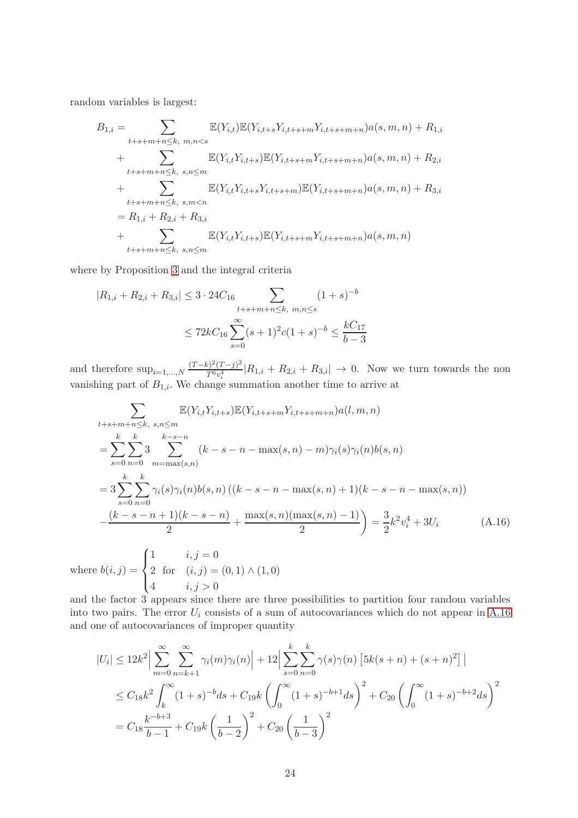random variables is largest:

$$
B_{1,i} = \sum_{t+s+m+n \leq k, \ m,n < s} \mathbb{E}(Y_{i,t}) \mathbb{E}(Y_{i,t+s} Y_{i,t+s+m} Y_{i,t+s+m+n}) a(s,m,n) + R_{1,i}
$$
\n
$$
+ \sum_{t+s+m+n \leq k, \ s,n \leq m} \mathbb{E}(Y_{i,t} Y_{i,t+s}) \mathbb{E}(Y_{i,t+s+m} Y_{i,t+s+m+n}) a(s,m,n) + R_{2,i}
$$
\n
$$
+ \sum_{t+s+m+n \leq k, \ s,m < n} \mathbb{E}(Y_{i,t} Y_{i,t+s} Y_{i,t+s+m}) \mathbb{E}(Y_{i,t+s+m+n}) a(s,m,n) + R_{3,i}
$$
\n
$$
= R_{1,i} + R_{2,i} + R_{3,i}
$$
\n
$$
+ \sum_{t+s+m+n \leq k, \ s,n \leq m} \mathbb{E}(Y_{i,t} Y_{i,t+s}) \mathbb{E}(Y_{i,t+s+m} Y_{i,t+s+m+n}) a(s,m,n)
$$

where by Proposition [3](#page-18-0) and the integral criteria

$$
|R_{1,i} + R_{2,i} + R_{3,i}| \le 3 \cdot 24C_{16} \sum_{\substack{t+s+m+n \le k, \ m,n \le s}} (1+s)^{-b}
$$
  
 
$$
\le 72kC_{16} \sum_{s=0}^{\infty} (s+1)^2 c (1+s)^{-b} \le \frac{kC_{17}}{b-3}
$$

and therefore  $\sup_{i=1,...,N} \frac{(T-k)^2 (T-j)^2}{T^6 v^4}$  $T_{T_{6}^{6}v_i^4}^{5}$   $|R_{1,i} + R_{2,i} + R_{3,i}| \rightarrow 0$ . Now we turn towards the non vanishing part of  $B_{1,i}$ . We change summation another time to arrive at

<span id="page-23-0"></span>
$$
\sum_{t+s+m+n\leq k, s,n\leq m} \mathbb{E}(Y_{i,t}Y_{i,t+s})\mathbb{E}(Y_{i,t+s+m}Y_{i,t+s+m+n})a(l,m,n)
$$
\n
$$
=\sum_{s=0}^{k} \sum_{n=0}^{k} 3 \sum_{m=\max(s,n)} (k-s-n-\max(s,n)-m)\gamma_i(s)\gamma_i(n)b(s,n)
$$
\n
$$
=3\sum_{s=0}^{k} \sum_{n=0}^{k} \gamma_i(s)\gamma_i(n)b(s,n) ((k-s-n-\max(s,n)+1)(k-s-n-\max(s,n))
$$
\n
$$
-\frac{(k-s-n+1)(k-s-n)}{2} + \frac{\max(s,n)(\max(s,n)-1)}{2} = \frac{3}{2}k^2v_i^4 + 3U_i
$$
\n(A.16)

where  $b(i, j) =$  $\int$  $\overline{a}$ 2 for  $(i, j) = (0, 1) \wedge (1, 0)$ 4  $i, j > 0$ 

and the factor 3 appears since there are three possibilities to partition four random variables into two pairs. The error  $U_i$  consists of a sum of autocovariances which do not appear in [A.16](#page-23-0) and one of autocovariances of improper quantity

$$
|U_i| \le 12k^2 \Big| \sum_{m=0}^{\infty} \sum_{n=k+1}^{\infty} \gamma_i(m)\gamma_i(n) \Big| + 12 \Big| \sum_{s=0}^k \sum_{n=0}^k \gamma(s)\gamma(n) \left[ 5k(s+n) + (s+n)^2 \right] \Big|
$$
  

$$
\le C_{18}k^2 \int_k^{\infty} (1+s)^{-b}ds + C_{19}k \left( \int_0^{\infty} (1+s)^{-b+1}ds \right)^2 + C_{20} \left( \int_0^{\infty} (1+s)^{-b+2}ds \right)^2
$$
  

$$
= C_{18} \frac{k^{-b+3}}{b-1} + C_{19}k \left( \frac{1}{b-2} \right)^2 + C_{20} \left( \frac{1}{b-3} \right)^2
$$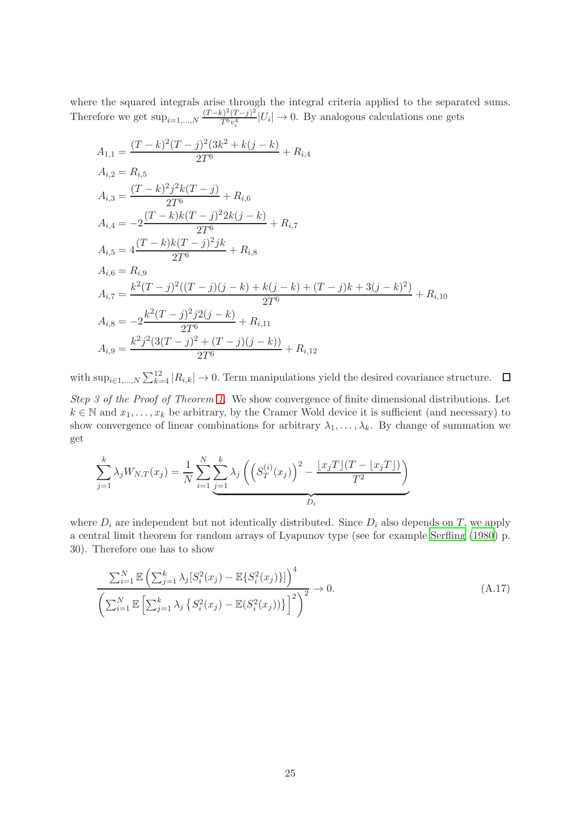where the squared integrals arise through the integral criteria applied to the separated sums. Therefore we get  $\sup_{i=1,\dots,N} \frac{(T-k)^2 (T-j)^2}{T^6 n^4}$  $\frac{\sum_{i=1}^{j-1} (I-j)^i}{T^6 v_i^4}$  |U<sub>i</sub>|  $\rightarrow$  0. By analogous calculations one gets

$$
A_{1,1} = \frac{(T-k)^2(T-j)^2(3k^2+k(j-k))}{2T^6} + R_{i,4}
$$
  
\n
$$
A_{i,2} = R_{i,5}
$$
  
\n
$$
A_{i,3} = \frac{(T-k)^2j^2k(T-j)}{2T^6} + R_{i,6}
$$
  
\n
$$
A_{i,4} = -2\frac{(T-k)k(T-j)^22k(j-k)}{2T^6} + R_{i,7}
$$
  
\n
$$
A_{i,5} = 4\frac{(T-k)k(T-j)^2jk}{2T^6} + R_{i,8}
$$
  
\n
$$
A_{i,6} = R_{i,9}
$$
  
\n
$$
A_{i,7} = \frac{k^2(T-j)^2((T-j)(j-k) + k(j-k) + (T-j)k + 3(j-k)^2)}{2T^6} + R_{i,10}
$$
  
\n
$$
A_{i,8} = -2\frac{k^2(T-j)^2j2(j-k)}{2T^6} + R_{i,11}
$$
  
\n
$$
A_{i,9} = \frac{k^2j^2(3(T-j)^2 + (T-j)(j-k))}{2T^6} + R_{i,12}
$$

with  $\sup_{i\in I,...,N}\sum_{k=4}^{12}|R_{i,k}|\to 0$ . Term manipulations yield the desired covariance structure.

Step 3 of the Proof of Theorem [1.](#page-6-0) We show convergence of finite dimensional distributions. Let  $k \in \mathbb{N}$  and  $x_1, \ldots, x_k$  be arbitrary, by the Cramer Wold device it is sufficient (and necessary) to show convergence of linear combinations for arbitrary  $\lambda_1, \ldots, \lambda_k$ . By change of summation we get

$$
\sum_{j=1}^{k} \lambda_j W_{N,T}(x_j) = \frac{1}{N} \sum_{i=1}^{N} \sum_{j=1}^{k} \lambda_j \left( \left( S_T^{(i)}(x_j) \right)^2 - \frac{\lfloor x_j T \rfloor (T - \lfloor x_j T \rfloor)}{T^2} \right)
$$

where  $D_i$  are independent but not identically distributed. Since  $D_i$  also depends on T, we apply a central limit theorem for random arrays of Lyapunov type (see for example [Serfling \(1980](#page-15-13)) p. 30). Therefore one has to show

<span id="page-24-0"></span>
$$
\frac{\sum_{i=1}^{N} \mathbb{E}\left(\sum_{j=1}^{k} \lambda_{j} [S_{i}^{2}(x_{j}) - \mathbb{E}\{S_{i}^{2}(x_{j})\}]\right)^{4}}{\left(\sum_{i=1}^{N} \mathbb{E}\left[\sum_{j=1}^{k} \lambda_{j} \{S_{i}^{2}(x_{j}) - \mathbb{E}(S_{i}^{2}(x_{j}))\}\right]^{2}\right)^{2}} \to 0.
$$
\n(A.17)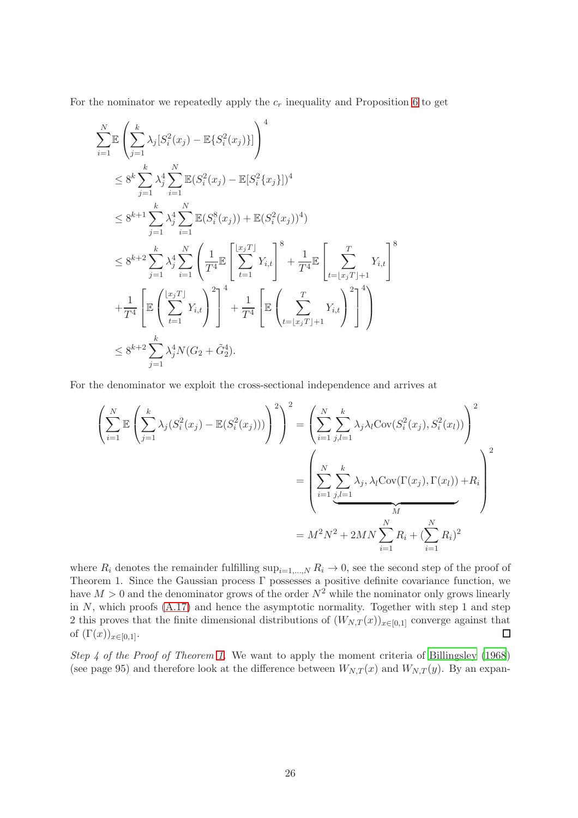For the nominator we repeatedly apply the  $c_r$  inequality and Proposition [6](#page-19-4) to get

$$
\sum_{i=1}^{N} \mathbb{E} \left( \sum_{j=1}^{k} \lambda_{j} [S_{i}^{2}(x_{j}) - \mathbb{E} \{ S_{i}^{2}(x_{j}) \}] \right)^{4}
$$
\n
$$
\leq 8^{k} \sum_{j=1}^{k} \lambda_{j}^{4} \sum_{i=1}^{N} \mathbb{E} (S_{i}^{2}(x_{j}) - \mathbb{E} [S_{i}^{2}\{x_{j}\}])^{4}
$$
\n
$$
\leq 8^{k+1} \sum_{j=1}^{k} \lambda_{j}^{4} \sum_{i=1}^{N} \mathbb{E} (S_{i}^{8}(x_{j})) + \mathbb{E} (S_{i}^{2}(x_{j}))^{4})
$$
\n
$$
\leq 8^{k+2} \sum_{j=1}^{k} \lambda_{j}^{4} \sum_{i=1}^{N} \left( \frac{1}{T^{4}} \mathbb{E} \left[ \sum_{t=1}^{x_{j}T} Y_{i,t} \right]^{8} + \frac{1}{T^{4}} \mathbb{E} \left[ \sum_{t=(x_{j}T)+1}^{T} Y_{i,t} \right]^{8}
$$
\n
$$
+ \frac{1}{T^{4}} \left[ \mathbb{E} \left( \sum_{t=1}^{x_{j}T} Y_{i,t} \right)^{2} \right]^{4} + \frac{1}{T^{4}} \left[ \mathbb{E} \left( \sum_{t=(x_{j}T)+1}^{T} Y_{i,t} \right)^{2} \right]^{4} \right)
$$
\n
$$
\leq 8^{k+2} \sum_{j=1}^{k} \lambda_{j}^{4} N(G_{2} + \tilde{G}_{2}^{4}).
$$

For the denominator we exploit the cross-sectional independence and arrives at

$$
\left(\sum_{i=1}^{N} \mathbb{E}\left(\sum_{j=1}^{k} \lambda_{j}(S_{i}^{2}(x_{j}) - \mathbb{E}(S_{i}^{2}(x_{j})))\right)^{2}\right)^{2} = \left(\sum_{i=1}^{N} \sum_{j,l=1}^{k} \lambda_{j} \lambda_{l} \text{Cov}(S_{i}^{2}(x_{j}), S_{i}^{2}(x_{l}))\right)^{2}
$$

$$
= \left(\sum_{i=1}^{N} \sum_{j,l=1}^{k} \lambda_{j}, \lambda_{l} \text{Cov}(\Gamma(x_{j}), \Gamma(x_{l})) + R_{i}\right)^{2}
$$

$$
= M^{2}N^{2} + 2MN \sum_{i=1}^{N} R_{i} + (\sum_{i=1}^{N} R_{i})^{2}
$$

where  $R_i$  denotes the remainder fulfilling  $\sup_{i=1,\dots,N} R_i \to 0$ , see the second step of the proof of Theorem 1. Since the Gaussian process Γ possesses a positive definite covariance function, we have  $M > 0$  and the denominator grows of the order  $N^2$  while the nominator only grows linearly in  $N$ , which proofs  $(A.17)$  and hence the asymptotic normality. Together with step 1 and step 2 this proves that the finite dimensional distributions of  $(W_{N,T}(x))_{x\in[0,1]}$  converge against that of  $(\Gamma(x))_{x\in[0,1]}$ . of  $(\Gamma(x))_{x\in[0,1]}$ .

Step 4 of the Proof of Theorem [1.](#page-6-0) We want to apply the moment criteria of [Billingsley \(1968](#page-14-22)) (see page 95) and therefore look at the difference between  $W_{N,T}(x)$  and  $W_{N,T}(y)$ . By an expan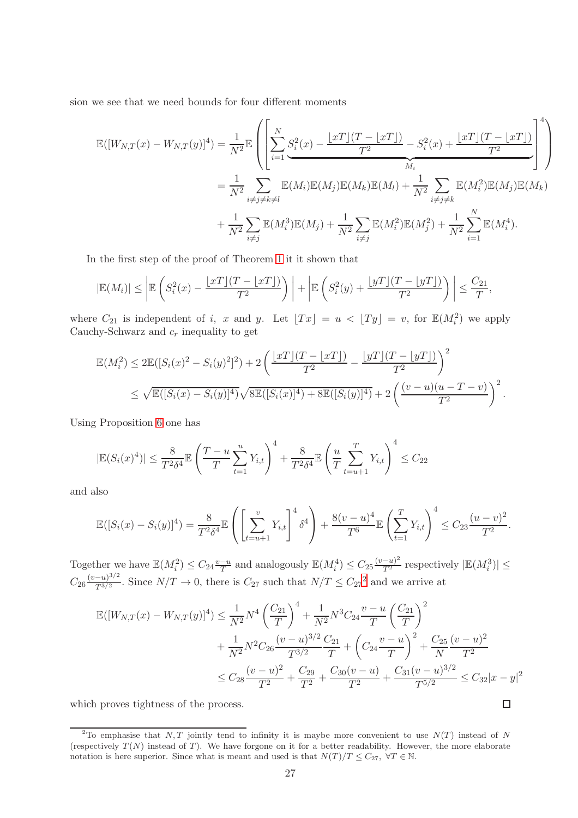sion we see that we need bounds for four different moments

$$
\mathbb{E}([W_{N,T}(x) - W_{N,T}(y)]^4) = \frac{1}{N^2} \mathbb{E} \left( \left[ \sum_{i=1}^N S_i^2(x) - \frac{\lfloor xT \rfloor (T - \lfloor xT \rfloor)}{T^2} - S_i^2(x) + \frac{\lfloor xT \rfloor (T - \lfloor xT \rfloor)}{T^2} \right]^4 \right)
$$
  
\n
$$
= \frac{1}{N^2} \sum_{i \neq j \neq k \neq l} \mathbb{E}(M_i) \mathbb{E}(M_j) \mathbb{E}(M_k) \mathbb{E}(M_l) + \frac{1}{N^2} \sum_{i \neq j \neq k} \mathbb{E}(M_i^2) \mathbb{E}(M_j) \mathbb{E}(M_k)
$$
  
\n
$$
+ \frac{1}{N^2} \sum_{i \neq j} \mathbb{E}(M_i^3) \mathbb{E}(M_j) + \frac{1}{N^2} \sum_{i \neq j} \mathbb{E}(M_i^2) \mathbb{E}(M_j^2) + \frac{1}{N^2} \sum_{i=1}^N \mathbb{E}(M_i^4).
$$

In the first step of the proof of Theorem [1](#page-6-0) it it shown that

$$
|\mathbb{E}(M_i)| \leq \left| \mathbb{E}\left(S_i^2(x) - \frac{\lfloor xT \rfloor(T - \lfloor xT \rfloor)}{T^2}\right) \right| + \left| \mathbb{E}\left(S_i^2(y) + \frac{\lfloor yT \rfloor(T - \lfloor yT \rfloor)}{T^2}\right) \right| \leq \frac{C_{21}}{T},
$$

where  $C_{21}$  is independent of i, x and y. Let  $[Tx] = u < [Ty] = v$ , for  $\mathbb{E}(M_i^2)$  we apply Cauchy-Schwarz and  $c_r$  inequality to get

$$
\mathbb{E}(M_i^2) \le 2\mathbb{E}([S_i(x)^2 - S_i(y)^2]^2) + 2\left(\frac{\lfloor xT\rfloor(T - \lfloor xT\rfloor)}{T^2} - \frac{\lfloor yT\rfloor(T - \lfloor yT\rfloor)}{T^2}\right)^2
$$
  

$$
\le \sqrt{\mathbb{E}([S_i(x) - S_i(y)]^4)}\sqrt{8\mathbb{E}([S_i(x)]^4) + 8\mathbb{E}([S_i(y)]^4)} + 2\left(\frac{(v - u)(u - T - v)}{T^2}\right)^2.
$$

Using Proposition [6](#page-19-4) one has

$$
|\mathbb{E}(S_i(x)^4)| \le \frac{8}{T^2 \delta^4} \mathbb{E}\left(\frac{T-u}{T}\sum_{t=1}^u Y_{i,t}\right)^4 + \frac{8}{T^2 \delta^4} \mathbb{E}\left(\frac{u}{T}\sum_{t=u+1}^T Y_{i,t}\right)^4 \le C_{22}
$$

and also

$$
\mathbb{E}([S_i(x) - S_i(y)]^4) = \frac{8}{T^2 \delta^4} \mathbb{E}\left(\left[\sum_{t=u+1}^v Y_{i,t}\right]^4 \delta^4\right) + \frac{8(v-u)^4}{T^6} \mathbb{E}\left(\sum_{t=1}^T Y_{i,t}\right)^4 \le C_{23} \frac{(u-v)^2}{T^2}.
$$

Together we have  $\mathbb{E}(M_i^2) \leq C_{24} \frac{v-u}{T}$  $\frac{-u}{T}$  and analogously  $\mathbb{E}(M_i^4) \leq C_{25} \frac{(v-u)^2}{T^2}$  respectively  $|\mathbb{E}(M_i^3)| \leq$  $C_{26}\frac{(v-u)^{3/2}}{T^{3/2}}$  $\frac{(-u)^{3/2}}{T^{3/2}}$  $\frac{(-u)^{3/2}}{T^{3/2}}$  $\frac{(-u)^{3/2}}{T^{3/2}}$ . Since  $N/T \to 0$ , there is  $C_{27}$  such that  $N/T \leq C_{27}^2$  and we arrive at

$$
\mathbb{E}([W_{N,T}(x) - W_{N,T}(y)]^4) \le \frac{1}{N^2} N^4 \left(\frac{C_{21}}{T}\right)^4 + \frac{1}{N^2} N^3 C_{24} \frac{v - u}{T} \left(\frac{C_{21}}{T}\right)^2 \n+ \frac{1}{N^2} N^2 C_{26} \frac{(v - u)^{3/2}}{T^{3/2}} \frac{C_{21}}{T} + \left(C_{24} \frac{v - u}{T}\right)^2 + \frac{C_{25}}{N} \frac{(v - u)^2}{T^2} \n\le C_{28} \frac{(v - u)^2}{T^2} + \frac{C_{29}}{T^2} + \frac{C_{30}(v - u)}{T^2} + \frac{C_{31}(v - u)^{3/2}}{T^{5/2}} \le C_{32} |x - y|^2
$$

 $\Box$ 

which proves tightness of the process.

<span id="page-26-0"></span><sup>&</sup>lt;sup>2</sup>To emphasise that N, T jointly tend to infinity it is maybe more convenient to use  $N(T)$  instead of N (respectively  $T(N)$  instead of T). We have forgone on it for a better readability. However, the more elaborate notation is here superior. Since what is meant and used is that  $N(T)/T \leq C_{27}$ ,  $\forall T \in \mathbb{N}$ .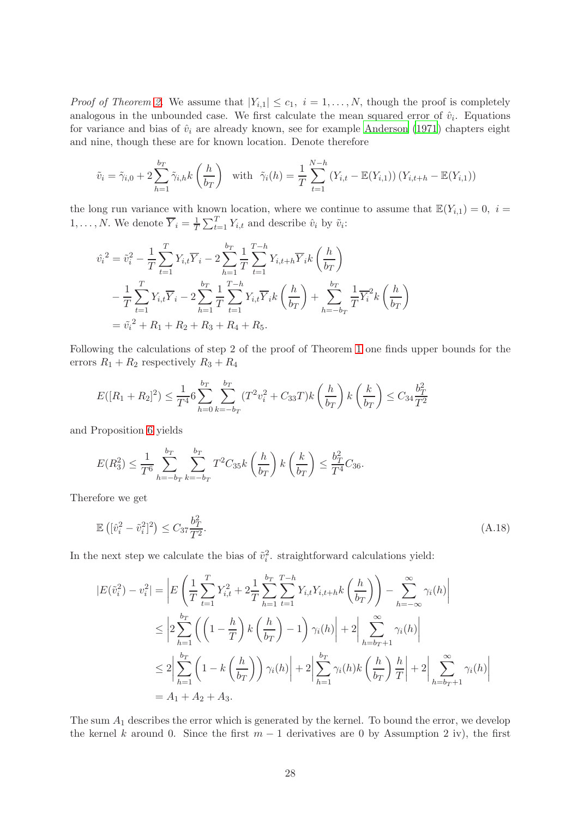*Proof of Theorem [2.](#page-7-1)* We assume that  $|Y_{i,1}| \leq c_1$ ,  $i = 1, \ldots, N$ , though the proof is completely analogous in the unbounded case. We first calculate the mean squared error of  $\hat{v}_i$ . Equations for variance and bias of  $\hat{v}_i$  are already known, see for example [Anderson \(1971](#page-14-14)) chapters eight and nine, though these are for known location. Denote therefore

$$
\tilde{v}_i = \tilde{\gamma}_{i,0} + 2 \sum_{h=1}^{b} \tilde{\gamma}_{i,h} k\left(\frac{h}{b_T}\right) \text{ with } \tilde{\gamma}_i(h) = \frac{1}{T} \sum_{t=1}^{N-h} \left(Y_{i,t} - \mathbb{E}(Y_{i,1})\right) \left(Y_{i,t+h} - \mathbb{E}(Y_{i,1})\right)
$$

the long run variance with known location, where we continue to assume that  $\mathbb{E}(Y_{i,1})=0, i=$  $1, \ldots, N$ . We denote  $\overline{Y}_i = \frac{1}{T} \sum_{t=1}^T Y_{i,t}$  and describe  $\hat{v}_i$  by  $\tilde{v}_i$ :

$$
\hat{v_i}^2 = \tilde{v_i}^2 - \frac{1}{T} \sum_{t=1}^T Y_{i,t} \overline{Y}_i - 2 \sum_{h=1}^{b_T} \frac{1}{T} \sum_{t=1}^{T-h} Y_{i,t+h} \overline{Y}_i k\left(\frac{h}{b_T}\right)
$$
  

$$
- \frac{1}{T} \sum_{t=1}^T Y_{i,t} \overline{Y}_i - 2 \sum_{h=1}^{b_T} \frac{1}{T} \sum_{t=1}^{T-h} Y_{i,t} \overline{Y}_i k\left(\frac{h}{b_T}\right) + \sum_{h=-b_T}^{b_T} \frac{1}{T} \overline{Y}_i^2 k\left(\frac{h}{b_T}\right)
$$
  

$$
= \tilde{v_i}^2 + R_1 + R_2 + R_3 + R_4 + R_5.
$$

Following the calculations of step 2 of the proof of Theorem [1](#page-6-0) one finds upper bounds for the errors  $R_1 + R_2$  respectively  $R_3 + R_4$ 

$$
E([R_1 + R_2]^2) \le \frac{1}{T^4} 6 \sum_{h=0}^{b_T} \sum_{k=-b_T}^{b_T} (T^2 v_i^2 + C_{33} T) k \left(\frac{h}{b_T}\right) k \left(\frac{k}{b_T}\right) \le C_{34} \frac{b_T^2}{T^2}
$$

and Proposition [6](#page-19-4) yields

$$
E(R_3^2) \le \frac{1}{T^6} \sum_{h=-b_T}^{b_T} \sum_{k=-b_T}^{b_T} T^2 C_{35} k\left(\frac{h}{b_T}\right) k\left(\frac{k}{b_T}\right) \le \frac{b_T^2}{T^4} C_{36}.
$$

Therefore we get

<span id="page-27-0"></span>
$$
\mathbb{E}\left( [\hat{v}_i^2 - \tilde{v}_i^2]^2 \right) \le C_{37} \frac{b_T^2}{T^2}.
$$
\n(A.18)

In the next step we calculate the bias of  $\tilde{v}_i^2$ , straightforward calculations yield:

$$
|E(\tilde{v}_{i}^{2}) - v_{i}^{2}| = \left| E\left(\frac{1}{T} \sum_{t=1}^{T} Y_{i,t}^{2} + 2\frac{1}{T} \sum_{h=1}^{b_{T}} \sum_{t=1}^{T-h} Y_{i,t} Y_{i,t+h} k\left(\frac{h}{b_{T}}\right) \right) - \sum_{h=-\infty}^{\infty} \gamma_{i}(h) \right|
$$
  
\n
$$
\leq \left| 2 \sum_{h=1}^{b_{T}} \left( \left(1 - \frac{h}{T}\right) k\left(\frac{h}{b_{T}}\right) - 1 \right) \gamma_{i}(h) \right| + 2 \left| \sum_{h=b_{T}+1}^{\infty} \gamma_{i}(h) \right|
$$
  
\n
$$
\leq 2 \left| \sum_{h=1}^{b_{T}} \left(1 - k\left(\frac{h}{b_{T}}\right)\right) \gamma_{i}(h) \right| + 2 \left| \sum_{h=1}^{b_{T}} \gamma_{i}(h) k\left(\frac{h}{b_{T}}\right) \frac{h}{T} \right| + 2 \left| \sum_{h=b_{T}+1}^{\infty} \gamma_{i}(h) \right|
$$
  
\n
$$
= A_{1} + A_{2} + A_{3}.
$$

The sum  $A_1$  describes the error which is generated by the kernel. To bound the error, we develop the kernel k around 0. Since the first  $m-1$  derivatives are 0 by Assumption 2 iv), the first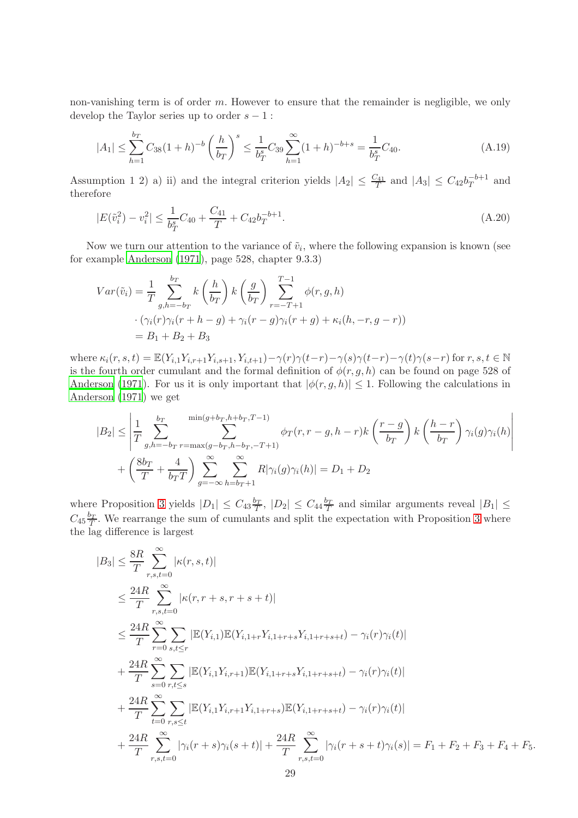non-vanishing term is of order m. However to ensure that the remainder is negligible, we only develop the Taylor series up to order  $s - 1$ :

$$
|A_1| \le \sum_{h=1}^{b_T} C_{38} (1+h)^{-b} \left(\frac{h}{b_T}\right)^s \le \frac{1}{b_T^s} C_{39} \sum_{h=1}^{\infty} (1+h)^{-b+s} = \frac{1}{b_T^s} C_{40}.
$$
 (A.19)

Assumption 1 2) a) ii) and the integral criterion yields  $|A_2| \leq \frac{C_{41}}{T}$  and  $|A_3| \leq C_{42}b_T^{-b+1}$  $T^{b+1}$  and therefore

<span id="page-28-0"></span>
$$
|E(\tilde{v}_i^2) - v_i^2| \le \frac{1}{b_T^s} C_{40} + \frac{C_{41}}{T} + C_{42} b_T^{-b+1}.
$$
\n(A.20)

Now we turn our attention to the variance of  $\tilde{v}_i$ , where the following expansion is known (see for example [Anderson \(1971](#page-14-14)), page 528, chapter 9.3.3)

$$
Var(\tilde{v}_i) = \frac{1}{T} \sum_{g,h=-b_T}^{b_T} k\left(\frac{h}{b_T}\right) k\left(\frac{g}{b_T}\right) \sum_{r=-T+1}^{T-1} \phi(r, g, h)
$$

$$
\cdot \left(\gamma_i(r)\gamma_i(r+h-g) + \gamma_i(r-g)\gamma_i(r+g) + \kappa_i(h, -r, g-r)\right)
$$

$$
= B_1 + B_2 + B_3
$$

where  $\kappa_i(r, s, t) = \mathbb{E}(Y_{i,1}Y_{i,r+1}Y_{i,s+1}, Y_{i,t+1}) - \gamma(r)\gamma(t-r) - \gamma(s)\gamma(t-r) - \gamma(t)\gamma(s-r)$  for  $r, s, t \in \mathbb{N}$ is the fourth order cumulant and the formal definition of  $\phi(r, g, h)$  can be found on page 528 of [Anderson \(1971](#page-14-14)). For us it is only important that  $|\phi(r, g, h)| \leq 1$ . Following the calculations in [Anderson \(1971\)](#page-14-14) we get

$$
|B_2| \le \left| \frac{1}{T} \sum_{g,h=-b_T}^{b_T} \sum_{r=\max(g-b_T,h-b_T,-T+1)}^{\min(g+b_T,h+b_T,T-1)} \phi_T(r,r-g,h-r)k\left(\frac{r-g}{b_T}\right)k\left(\frac{h-r}{b_T}\right)\gamma_i(g)\gamma_i(h) \right|
$$

$$
+\left(\frac{8b_T}{T} + \frac{4}{b_T T}\right) \sum_{g=-\infty}^{\infty} \sum_{h=b_T+1}^{\infty} R|\gamma_i(g)\gamma_i(h)| = D_1 + D_2
$$

where Proposition [3](#page-18-0) yields  $|D_1| \leq C_{43} \frac{b_T}{T}$ ,  $|D_2| \leq C_{44} \frac{b_T}{T}$  and similar arguments reveal  $|B_1| \leq$  $C_{45}\frac{b_T}{T}$ . We rearrange the sum of cumulants and split the expectation with Proposition [3](#page-18-0) where the lag difference is largest

$$
|B_{3}| \leq \frac{8R}{T} \sum_{r,s,t=0}^{\infty} |\kappa(r,s,t)|
$$
  
\n
$$
\leq \frac{24R}{T} \sum_{r,s,t=0}^{\infty} |\kappa(r,r+s,r+s+t)|
$$
  
\n
$$
\leq \frac{24R}{T} \sum_{r=0}^{\infty} \sum_{s,t \leq r} |\mathbb{E}(Y_{i,1})\mathbb{E}(Y_{i,1+r}Y_{i,1+r+s}Y_{i,1+r+s+t}) - \gamma_{i}(r)\gamma_{i}(t)|
$$
  
\n
$$
+ \frac{24R}{T} \sum_{s=0}^{\infty} \sum_{r,t \leq s} |\mathbb{E}(Y_{i,1}Y_{i,r+1})\mathbb{E}(Y_{i,1+r+s}Y_{i,1+r+s+t}) - \gamma_{i}(r)\gamma_{i}(t)|
$$
  
\n
$$
+ \frac{24R}{T} \sum_{t=0}^{\infty} \sum_{r,s \leq t} |\mathbb{E}(Y_{i,1}Y_{i,r+1}Y_{i,1+r+s})\mathbb{E}(Y_{i,1+r+s+t}) - \gamma_{i}(r)\gamma_{i}(t)|
$$
  
\n
$$
+ \frac{24R}{T} \sum_{r,s,t=0}^{\infty} |\gamma_{i}(r+s)\gamma_{i}(s+t)| + \frac{24R}{T} \sum_{r,s,t=0}^{\infty} |\gamma_{i}(r+s+t)\gamma_{i}(s)| = F_{1} + F_{2} + F_{3} + F_{4} + F_{5}.
$$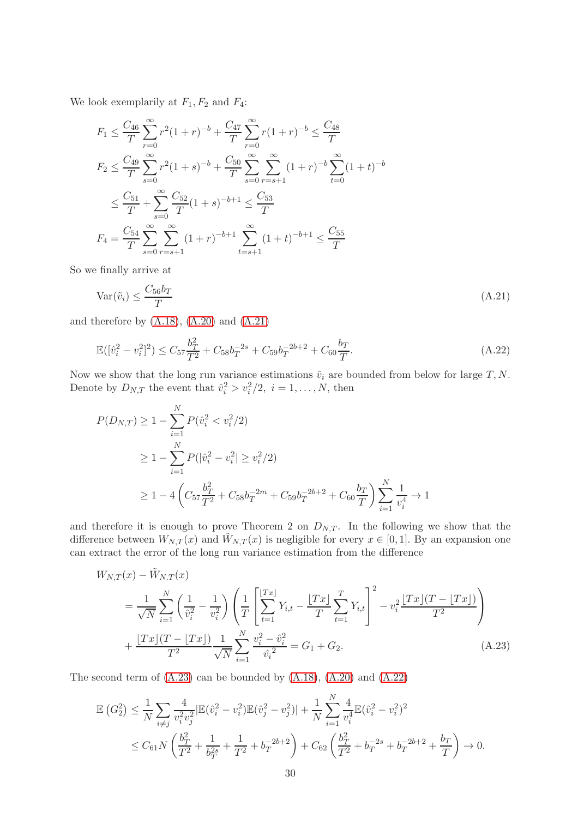We look exemplarily at  $F_1, F_2$  and  $F_4$ :

$$
F_1 \leq \frac{C_{46}}{T} \sum_{r=0}^{\infty} r^2 (1+r)^{-b} + \frac{C_{47}}{T} \sum_{r=0}^{\infty} r (1+r)^{-b} \leq \frac{C_{48}}{T}
$$
  
\n
$$
F_2 \leq \frac{C_{49}}{T} \sum_{s=0}^{\infty} r^2 (1+s)^{-b} + \frac{C_{50}}{T} \sum_{s=0}^{\infty} \sum_{r=s+1}^{\infty} (1+r)^{-b} \sum_{t=0}^{\infty} (1+t)^{-b}
$$
  
\n
$$
\leq \frac{C_{51}}{T} + \sum_{s=0}^{\infty} \frac{C_{52}}{T} (1+s)^{-b+1} \leq \frac{C_{53}}{T}
$$
  
\n
$$
F_4 = \frac{C_{54}}{T} \sum_{s=0}^{\infty} \sum_{r=s+1}^{\infty} (1+r)^{-b+1} \sum_{t=s+1}^{\infty} (1+t)^{-b+1} \leq \frac{C_{55}}{T}
$$

So we finally arrive at

<span id="page-29-0"></span>
$$
\text{Var}(\tilde{v}_i) \le \frac{C_{56}b_T}{T} \tag{A.21}
$$

and therefore by [\(A.18\)](#page-27-0), [\(A.20\)](#page-28-0) and [\(A.21\)](#page-29-0)

<span id="page-29-2"></span>
$$
\mathbb{E}([\hat{v}_i^2 - v_i^2]^2) \le C_{57} \frac{b_T^2}{T^2} + C_{58} b_T^{-2s} + C_{59} b_T^{-2b+2} + C_{60} \frac{b_T}{T}.
$$
\n(A.22)

Now we show that the long run variance estimations  $\hat{v}_i$  are bounded from below for large  $T, N$ . Denote by  $D_{N,T}$  the event that  $\hat{v}_i^2 > v_i^2/2$ ,  $i = 1, ..., N$ , then

$$
P(D_{N,T}) \ge 1 - \sum_{i=1}^{N} P(\hat{v}_i^2 < v_i^2/2)
$$
\n
$$
\ge 1 - \sum_{i=1}^{N} P(|\hat{v}_i^2 - v_i^2| \ge v_i^2/2)
$$
\n
$$
\ge 1 - 4\left(C_{57}\frac{b_T^2}{T^2} + C_{58}b_T^{-2m} + C_{59}b_T^{-2b+2} + C_{60}\frac{b_T}{T}\right)\sum_{i=1}^{N}\frac{1}{v_i^4} \to 1
$$

and therefore it is enough to prove Theorem 2 on  $D_{N,T}$ . In the following we show that the difference between  $W_{N,T}(x)$  and  $\tilde{W}_{N,T}(x)$  is negligible for every  $x \in [0,1]$ . By an expansion one can extract the error of the long run variance estimation from the difference

$$
W_{N,T}(x) - \tilde{W}_{N,T}(x)
$$
  
=  $\frac{1}{\sqrt{N}} \sum_{i=1}^{N} \left( \frac{1}{\hat{v}_i^2} - \frac{1}{v_i^2} \right) \left( \frac{1}{T} \left[ \sum_{t=1}^{[Tx]} Y_{i,t} - \frac{[Tx]}{T} \sum_{t=1}^{T} Y_{i,t} \right]^2 - v_i^2 \frac{[Tx](T - [Tx])}{T^2} \right)$   
+  $\frac{[Tx](T - [Tx])}{T^2} \frac{1}{\sqrt{N}} \sum_{i=1}^{N} \frac{v_i^2 - \hat{v}_i^2}{\hat{v}_i^2} = G_1 + G_2.$  (A.23)

The second term of  $(A.23)$  can be bounded by  $(A.18)$ ,  $(A.20)$  and  $(A.22)$ 

<span id="page-29-1"></span>
$$
\mathbb{E}\left(G_2^2\right) \leq \frac{1}{N} \sum_{i \neq j} \frac{4}{v_i^2 v_j^2} |\mathbb{E}(\hat{v}_i^2 - v_i^2)\mathbb{E}(\hat{v}_j^2 - v_j^2)| + \frac{1}{N} \sum_{i=1}^N \frac{4}{v_i^4} \mathbb{E}(\hat{v}_i^2 - v_i^2)^2
$$
  

$$
\leq C_{61} N \left(\frac{b_T^2}{T^2} + \frac{1}{b_T^{2s}} + \frac{1}{T^2} + b_T^{-2b+2}\right) + C_{62} \left(\frac{b_T^2}{T^2} + b_T^{-2s} + b_T^{-2b+2} + \frac{b_T}{T}\right) \to 0.
$$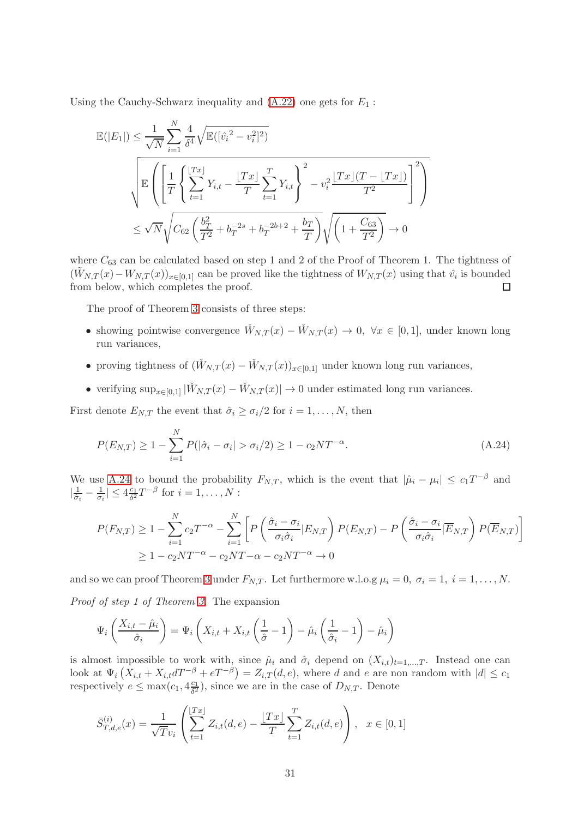Using the Cauchy-Schwarz inequality and  $(A.22)$  one gets for  $E_1$ :

$$
\mathbb{E}(|E_1|) \leq \frac{1}{\sqrt{N}} \sum_{i=1}^N \frac{4}{\delta^4} \sqrt{\mathbb{E}([\hat{v}_i^2 - v_i^2]^2)} \\
\sqrt{\mathbb{E}\left(\left[\frac{1}{T}\left\{\sum_{t=1}^{|Tx|} Y_{i,t} - \frac{|Tx|}{T}\sum_{t=1}^T Y_{i,t}\right\}^2 - v_i^2 \frac{|Tx|(T - |Tx|)}{T^2}\right]^2\right)} \\
\leq \sqrt{N} \sqrt{C_{62} \left(\frac{b_T^2}{T^2} + b_T^{-2s} + b_T^{-2b+2} + \frac{b_T}{T}\right)} \sqrt{\left(1 + \frac{C_{63}}{T^2}\right)} \to 0
$$

where  $C_{63}$  can be calculated based on step 1 and 2 of the Proof of Theorem 1. The tightness of  $(\tilde{W}_{N,T}(x) - W_{N,T}(x))_{x \in [0,1]}$  can be proved like the tightness of  $W_{N,T}(x)$  using that  $\hat{v}_i$  is bounded from below, which completes the proof.  $\Box$ 

The proof of Theorem [3](#page-8-0) consists of three steps:

- showing pointwise convergence  $\check{W}_{N,T}(x) \check{W}_{N,T}(x) \to 0$ ,  $\forall x \in [0,1]$ , under known long run variances,
- proving tightness of  $(\check{W}_{N,T}(x) \check{W}_{N,T}(x))_{x \in [0,1]}$  under known long run variances,
- verifying  $\sup_{x\in[0,1]} |\check{W}_{N,T}(x)-\check{W}_{N,T}(x)|\to 0$  under estimated long run variances.

First denote  $E_{N,T}$  the event that  $\hat{\sigma}_i \geq \sigma_i/2$  for  $i = 1, \ldots, N$ , then

<span id="page-30-0"></span>
$$
P(E_{N,T}) \ge 1 - \sum_{i=1}^{N} P(|\hat{\sigma}_i - \sigma_i| > \sigma_i/2) \ge 1 - c_2 NT^{-\alpha}.
$$
 (A.24)

We use [A.24](#page-30-0) to bound the probability  $F_{N,T}$ , which is the event that  $|\hat{\mu}_i - \mu_i| \leq c_1 T^{-\beta}$  and  $|\frac{1}{\hat{\sigma}}$  $\frac{1}{\hat{\sigma}_i} - \frac{1}{\sigma_i} \leq 4 \frac{c_1}{\delta^2} T^{-\beta}$  for  $i = 1, \ldots, N$ :

$$
P(F_{N,T}) \ge 1 - \sum_{i=1}^{N} c_2 T^{-\alpha} - \sum_{i=1}^{N} \left[ P\left(\frac{\hat{\sigma}_i - \sigma_i}{\sigma_i \hat{\sigma}_i} | E_{N,T}\right) P(E_{N,T}) - P\left(\frac{\hat{\sigma}_i - \sigma_i}{\sigma_i \hat{\sigma}_i} | \overline{E}_{N,T}\right) P(\overline{E}_{N,T}) \right]
$$
  
 
$$
\ge 1 - c_2 N T^{-\alpha} - c_2 N T - \alpha - c_2 N T^{-\alpha} \to 0
$$

and so we can proof Theorem [3](#page-8-0) under  $F_{N,T}$ . Let furthermore w.l.o.g  $\mu_i = 0, \sigma_i = 1, i = 1, ..., N$ . Proof of step 1 of Theorem [3.](#page-8-0) The expansion

$$
\Psi_i\left(\frac{X_{i,t} - \hat{\mu}_i}{\hat{\sigma}_i}\right) = \Psi_i\left(X_{i,t} + X_{i,t}\left(\frac{1}{\hat{\sigma}} - 1\right) - \hat{\mu}_i\left(\frac{1}{\hat{\sigma}_i} - 1\right) - \hat{\mu}_i\right)
$$

is almost impossible to work with, since  $\hat{\mu}_i$  and  $\hat{\sigma}_i$  depend on  $(X_{i,t})_{t=1,\dots,T}$ . Instead one can look at  $\Psi_i(X_{i,t} + X_{i,t}dT^{-\beta} + eT^{-\beta}) = Z_{i,T}(d,e)$ , where d and e are non random with  $|d| \leq c_1$ respectively  $e \le \max(c_1, 4\frac{c_1}{\delta^2})$ , since we are in the case of  $D_{N,T}$ . Denote

$$
\bar{S}_{T,d,e}^{(i)}(x) = \frac{1}{\sqrt{T}v_i} \left( \sum_{t=1}^{\lfloor Tx \rfloor} Z_{i,t}(d,e) - \frac{\lfloor Tx \rfloor}{T} \sum_{t=1}^T Z_{i,t}(d,e) \right), \quad x \in [0,1]
$$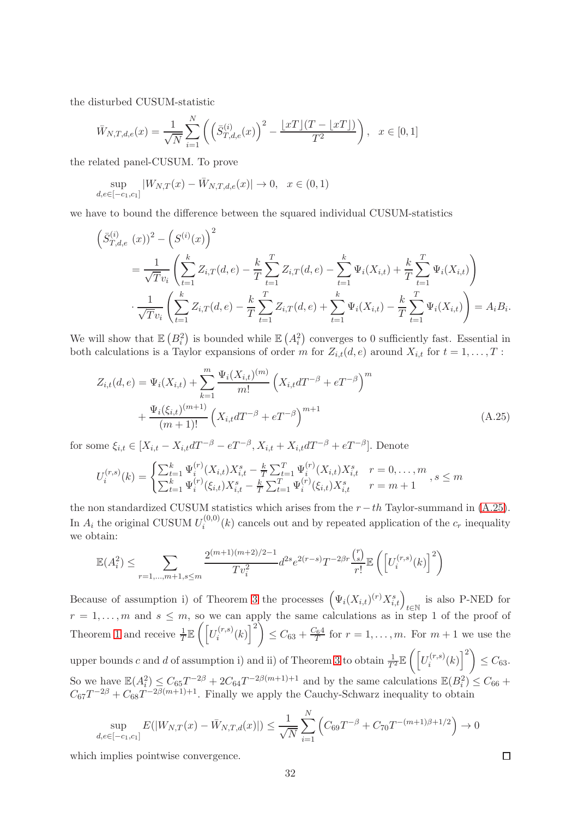the disturbed CUSUM-statistic

$$
\bar{W}_{N,T,d,e}(x) = \frac{1}{\sqrt{N}} \sum_{i=1}^{N} \left( \left( \bar{S}_{T,d,e}^{(i)}(x) \right)^2 - \frac{\lfloor xT \rfloor (T - \lfloor xT \rfloor)}{T^2} \right), \quad x \in [0,1]
$$

the related panel-CUSUM. To prove

$$
\sup_{d,e \in [-c_1,c_1]} |W_{N,T}(x) - \bar{W}_{N,T,d,e}(x)| \to 0, \quad x \in (0,1)
$$

we have to bound the difference between the squared individual CUSUM-statistics

$$
\left(\bar{S}_{T,d,e}^{(i)}(x)\right)^{2} - \left(S^{(i)}(x)\right)^{2}
$$
\n
$$
= \frac{1}{\sqrt{T}v_{i}} \left(\sum_{t=1}^{k} Z_{i,T}(d,e) - \frac{k}{T} \sum_{t=1}^{T} Z_{i,T}(d,e) - \sum_{t=1}^{k} \Psi_{i}(X_{i,t}) + \frac{k}{T} \sum_{t=1}^{T} \Psi_{i}(X_{i,t})\right)
$$
\n
$$
\cdot \frac{1}{\sqrt{T}v_{i}} \left(\sum_{t=1}^{k} Z_{i,T}(d,e) - \frac{k}{T} \sum_{t=1}^{T} Z_{i,T}(d,e) + \sum_{t=1}^{k} \Psi_{i}(X_{i,t}) - \frac{k}{T} \sum_{t=1}^{T} \Psi_{i}(X_{i,t})\right) = A_{i}B_{i}.
$$

We will show that  $\mathbb{E}(B_i^2)$  is bounded while  $\mathbb{E}(A_i^2)$  converges to 0 sufficiently fast. Essential in both calculations is a Taylor expansions of order m for  $Z_{i,t}(d, e)$  around  $X_{i,t}$  for  $t = 1, \ldots, T$ :

<span id="page-31-0"></span>
$$
Z_{i,t}(d,e) = \Psi_i(X_{i,t}) + \sum_{k=1}^m \frac{\Psi_i(X_{i,t})^{(m)}}{m!} \left(X_{i,t}dT^{-\beta} + eT^{-\beta}\right)^m + \frac{\Psi_i(\xi_{i,t})^{(m+1)}}{(m+1)!} \left(X_{i,t}dT^{-\beta} + eT^{-\beta}\right)^{m+1}
$$
\n(A.25)

for some  $\xi_{i,t} \in [X_{i,t} - X_{i,t}dT^{-\beta} - eT^{-\beta}, X_{i,t} + X_{i,t}dT^{-\beta} + eT^{-\beta}]$ . Denote

$$
U_i^{(r,s)}(k) = \begin{cases} \sum_{t=1}^k \Psi_i^{(r)}(X_{i,t}) X_{i,t}^s - \frac{k}{T} \sum_{t=1}^T \Psi_i^{(r)}(X_{i,t}) X_{i,t}^s & r = 0, \dots, m \\ \sum_{t=1}^k \Psi_i^{(r)}(\xi_{i,t}) X_{i,t}^s - \frac{k}{T} \sum_{t=1}^T \Psi_i^{(r)}(\xi_{i,t}) X_{i,t}^s & r = m+1 \end{cases}, s \le m
$$

the non standardized CUSUM statistics which arises from the  $r-th$  Taylor-summand in [\(A.25\)](#page-31-0). In  $A_i$  the original CUSUM  $U_i^{(0,0)}$  $i^{(0,0)}(k)$  cancels out and by repeated application of the  $c_r$  inequality we obtain:

$$
\mathbb{E}(A_i^2) \le \sum_{r=1,\dots,m+1,s \le m} \frac{2^{(m+1)(m+2)/2-1}}{Tv_i^2} d^{2s} e^{2(r-s)} T^{-2\beta r} \frac{\binom{r}{s}}{r!} \mathbb{E}\left(\left[U_i^{(r,s)}(k)\right]^2\right)
$$

Because of assumption i) of Theorem [3](#page-8-0) the processes  $(\Psi_i(X_{i,t})^{(r)} X_{i,t}^s)_{t \in \mathbb{N}}$  is also P-NED for  $r = 1, \ldots, m$  and  $s \leq m$ , so we can apply the same calculations as in step 1 of the proof of Theorem [1](#page-6-0) and receive  $\frac{1}{T}\mathbb{E}\left(\left[U_i^{(r,s)}\right]\right)$  $\left[\begin{matrix}(r,s)\ (k)\end{matrix}\right]^2$  $\leq C_{63} + \frac{C_6 4}{T}$  for  $r = 1, \ldots, m$ . For  $m + 1$  we use the upper bounds c and d of assumption i) and ii) of Theorem [3](#page-8-0) to obtain  $\frac{1}{T^2}\mathbb{E}\left( \left[ U_i^{(r,s)} \right] \right)$  $\left[\begin{matrix}(r,s)\ (k)\end{matrix}\right]^2$  $\leq C_{63}.$ So we have  $\mathbb{E}(A_i^2) \leq C_{65}T^{-2\beta} + 2C_{64}T^{-2\beta(m+1)+1}$  and by the same calculations  $\mathbb{E}(B_i^2) \leq C_{66} + C_{66}T^{-2\beta(m+1)+1}$  $C_{67}T^{-2\beta} + C_{68}T^{-2\beta(m+1)+1}$ . Finally we apply the Cauchy-Schwarz inequality to obtain

$$
\sup_{d,e \in [-c_1,c_1]} E(|W_{N,T}(x) - \bar{W}_{N,T,d}(x)|) \le \frac{1}{\sqrt{N}} \sum_{i=1}^N \left( C_{69} T^{-\beta} + C_{70} T^{-(m+1)\beta + 1/2} \right) \to 0
$$

which implies pointwise convergence.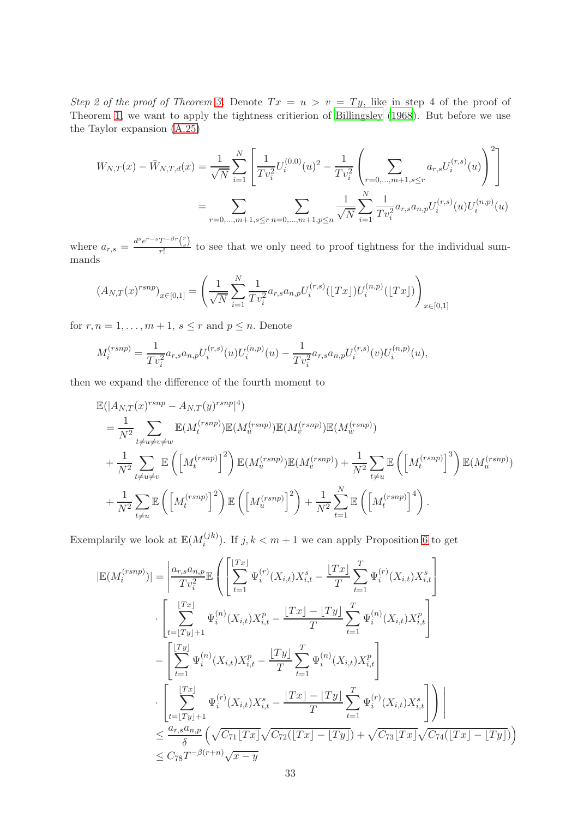Step 2 of the proof of Theorem [3.](#page-8-0) Denote  $Tx = u > v = Ty$ , like in step 4 of the proof of Theorem [1,](#page-6-0) we want to apply the tightness critierion of [Billingsley \(1968](#page-14-22)). But before we use the Taylor expansion [\(A.25\)](#page-31-0)

$$
W_{N,T}(x) - \bar{W}_{N,T,d}(x) = \frac{1}{\sqrt{N}} \sum_{i=1}^{N} \left[ \frac{1}{T v_i^2} U_i^{(0,0)}(u)^2 - \frac{1}{T v_i^2} \left( \sum_{r=0,\dots,m+1,s \le r} a_{r,s} U_i^{(r,s)}(u) \right)^2 \right]
$$
  

$$
= \sum_{r=0,\dots,m+1,s \le r} \sum_{n=0,\dots,m+1,p \le n} \frac{1}{\sqrt{N}} \sum_{i=1}^{N} \frac{1}{T v_i^2} a_{r,s} a_{n,p} U_i^{(r,s)}(u) U_i^{(n,p)}(u)
$$

where  $a_{r,s} = \frac{d^s e^{r-s} T^{-\beta r} {r \choose s}}{r!}$  $\frac{t}{r!}$  to see that we only need to proof tightness for the individual summands

$$
(A_{N,T}(x)^{rsnp})_{x \in [0,1]} = \left(\frac{1}{\sqrt{N}} \sum_{i=1}^{N} \frac{1}{Tv_i^2} a_{r,s} a_{n,p} U_i^{(r,s)}(\lfloor Tx \rfloor) U_i^{(n,p)}(\lfloor Tx \rfloor) \right)_{x \in [0,1]}
$$

for  $r, n = 1, \ldots, m + 1, s \leq r$  and  $p \leq n$ . Denote

$$
M_i^{(rsnp)} = \frac{1}{Tv_i^2} a_{r,s} a_{n,p} U_i^{(r,s)}(u) U_i^{(n,p)}(u) - \frac{1}{Tv_i^2} a_{r,s} a_{n,p} U_i^{(r,s)}(v) U_i^{(n,p)}(u),
$$

then we expand the difference of the fourth moment to

$$
\mathbb{E}(|A_{N,T}(x)^{rsnp} - A_{N,T}(y)^{rsnp}|^4)
$$
\n
$$
= \frac{1}{N^2} \sum_{t \neq u \neq v} \mathbb{E}(M_t^{(rsnp)}) \mathbb{E}(M_u^{(rsnp)}) \mathbb{E}(M_v^{(rsnp)}) \mathbb{E}(M_w^{(rsnp)})
$$
\n
$$
+ \frac{1}{N^2} \sum_{t \neq u \neq v} \mathbb{E}\left(\left[M_t^{(rsnp)}\right]^2\right) \mathbb{E}(M_u^{(rsnp)}) \mathbb{E}(M_v^{(rsnp)}) + \frac{1}{N^2} \sum_{t \neq u} \mathbb{E}\left(\left[M_t^{(rsnp)}\right]^3\right) \mathbb{E}(M_u^{(rsnp)})
$$
\n
$$
+ \frac{1}{N^2} \sum_{t \neq u} \mathbb{E}\left(\left[M_t^{(rsnp)}\right]^2\right) \mathbb{E}\left(\left[M_u^{(rsnp)}\right]^2\right) + \frac{1}{N^2} \sum_{t=1}^N \mathbb{E}\left(\left[M_t^{(rsnp)}\right]^4\right).
$$

Exemplarily we look at  $\mathbb{E}(M_i^{(jk)})$  $i^{(j,k)}$ . If  $j, k < m+1$  we can apply Proposition [6](#page-19-4) to get

$$
|\mathbb{E}(M_i^{(rsnp)})| = \left| \frac{a_{r,s}a_{n,p}}{Tv_i^2} \mathbb{E}\left(\left[\sum_{t=1}^{\lfloor Tx \rfloor} \Psi_i^{(r)}(X_{i,t})X_{i,t}^s - \frac{\lfloor Tx \rfloor}{T} \sum_{t=1}^T \Psi_i^{(r)}(X_{i,t})X_{i,t}^s\right] \right) \right|
$$
  

$$
\cdot \left[\sum_{t=\lfloor Ty \rfloor+1}^{\lfloor Tx \rfloor} \Psi_i^{(n)}(X_{i,t})X_{i,t}^p - \frac{\lfloor Tx \rfloor - \lfloor Ty \rfloor}{T} \sum_{t=1}^T \Psi_i^{(n)}(X_{i,t})X_{i,t}^p\right]
$$
  

$$
- \left[\sum_{t=1}^{\lfloor Ty \rfloor} \Psi_i^{(n)}(X_{i,t})X_{i,t}^p - \frac{\lfloor Ty \rfloor}{T} \sum_{t=1}^T \Psi_i^{(n)}(X_{i,t})X_{i,t}^p\right]
$$
  

$$
\cdot \left[\sum_{t=\lfloor Ty \rfloor+1}^{\lfloor Tx \rfloor} \Psi_i^{(r)}(X_{i,t})X_{i,t}^s - \frac{\lfloor Tx \rfloor - \lfloor Ty \rfloor}{T} \sum_{t=1}^T \Psi_i^{(r)}(X_{i,t})X_{i,t}^s\right]\right)\right|
$$
  

$$
\leq \frac{a_{r,s}a_{n,p}}{\delta} \left(\sqrt{C_{71}[Tx]} \sqrt{C_{72}[Tx] - \lfloor Ty \rfloor} + \sqrt{C_{73}[Tx]} \sqrt{C_{74}[Tx] - \lfloor Ty \rfloor}\right)
$$
  

$$
\leq C_{78}T^{-\beta(r+n)} \sqrt{x-y}
$$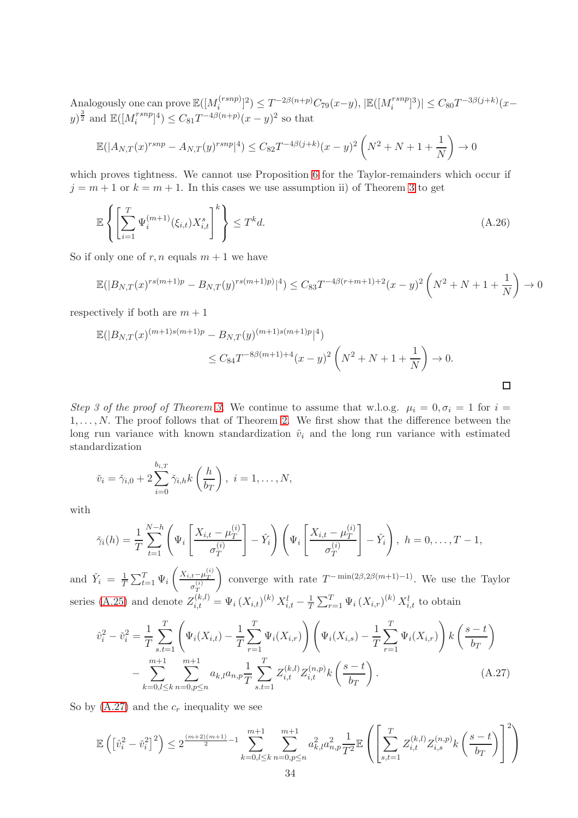Analogously one can prove  $\mathbb{E}([M_{i}^{(rsnp)}])$  $\mathbb{E}[(\text{sup})]^2] \leq T^{-2\beta(n+p)}C_{79}(x-y), |\mathbb{E}([M_i^{rsnp}]^3)| \leq C_{80}T^{-3\beta(j+k)}(x-y)$  $(y)^{\frac{3}{2}}$  and  $\mathbb{E}([M_i^{rsnp}]^4) \leq C_{81}T^{-4\beta(n+p)}(x-y)^2$  so that

$$
\mathbb{E}(|A_{N,T}(x)^{rsnp} - A_{N,T}(y)^{rsnp}|^4) \leq C_{82}T^{-4\beta(j+k)}(x-y)^2\left(N^2+N+1+\frac{1}{N}\right) \to 0
$$

which proves tightness. We cannot use Proposition [6](#page-19-4) for the Taylor-remainders which occur if  $j = m + 1$  or  $k = m + 1$ . In this cases we use assumption ii) of Theorem [3](#page-8-0) to get

<span id="page-33-1"></span>
$$
\mathbb{E}\left\{\left[\sum_{i=1}^{T}\Psi_i^{(m+1)}(\xi_{i,t})X_{i,t}^s\right]^k\right\} \le T^k d. \tag{A.26}
$$

So if only one of  $r, n$  equals  $m + 1$  we have

$$
\mathbb{E}(|B_{N,T}(x)^{rs(m+1)p} - B_{N,T}(y)^{rs(m+1)p}|^4) \leq C_{83}T^{-4\beta(r+m+1)+2}(x-y)^2\left(N^2+N+1+\frac{1}{N}\right) \to 0
$$

respectively if both are  $m + 1$ 

$$
\mathbb{E}(|B_{N,T}(x)^{(m+1)s(m+1)p} - B_{N,T}(y)^{(m+1)s(m+1)p}|^4)
$$
  
\n
$$
\leq C_{84}T^{-8\beta(m+1)+4}(x-y)^2\left(N^2+N+1+\frac{1}{N}\right) \to 0.
$$

Step 3 of the proof of Theorem [3.](#page-8-0) We continue to assume that w.l.o.g.  $\mu_i = 0, \sigma_i = 1$  for  $i =$  $1, \ldots, N$ . The proof follows that of Theorem [2.](#page-7-1) We first show that the difference between the long run variance with known standardization  $\hat{v}_i$  and the long run variance with estimated standardization

$$
\check{v}_i = \check{\gamma}_{i,0} + 2\sum_{i=0}^{b_{i,T}} \check{\gamma}_{i,h} k\left(\frac{h}{b_T}\right), \ i = 1,\ldots,N,
$$

with

$$
\check{\gamma}_i(h) = \frac{1}{T} \sum_{t=1}^{N-h} \left( \Psi_i \left[ \frac{X_{i,t} - \mu_T^{(i)}}{\sigma_T^{(i)}} \right] - \check{Y}_i \right) \left( \Psi_i \left[ \frac{X_{i,t} - \mu_T^{(i)}}{\sigma_T^{(i)}} \right] - \check{Y}_i \right), \ h = 0, \dots, T-1,
$$

and  $\check{Y}_i = \frac{1}{7}$  $\frac{1}{T} \sum_{t=1}^T \Psi_i$  $\left( \frac{X_{i,t}-\mu_T^{(i)}}{T}\right)$  $\sigma_T^{(i)}$  $\setminus$ converge with rate  $T^{-\min(2\beta,2\beta(m+1)-1)}$ . We use the Taylor series [\(A.25\)](#page-31-0) and denote  $Z_{i,t}^{(k,l)} = \Psi_i (X_{i,t})^{(k)} X_{i,t}^l - \frac{1}{T}$  $\frac{1}{T} \sum_{r=1}^{T} \Psi_i (X_{i,r})^{(k)} X_{i,t}^l$  to obtain

<span id="page-33-0"></span>
$$
\hat{v}_i^2 - \check{v}_i^2 = \frac{1}{T} \sum_{s.t=1}^T \left( \Psi_i(X_{i,t}) - \frac{1}{T} \sum_{r=1}^T \Psi_i(X_{i,r}) \right) \left( \Psi_i(X_{i,s}) - \frac{1}{T} \sum_{r=1}^T \Psi_i(X_{i,r}) \right) k \left( \frac{s-t}{b_T} \right) \n- \sum_{k=0,l \le k}^{m+1} \sum_{n=0,p \le n}^{m+1} a_{k,l} a_{n,p} \frac{1}{T} \sum_{s.t=1}^T Z_{i,t}^{(k,l)} Z_{i,t}^{(n,p)} k \left( \frac{s-t}{b_T} \right).
$$
\n(A.27)

So by  $(A.27)$  and the  $c_r$  inequality we see

$$
\mathbb{E}\left(\left[\hat{v}_{i}^{2}-\check{v}_{i}^{2}\right]^{2}\right) \leq 2^{\frac{(m+2)(m+1)}{2}-1} \sum_{k=0,l \leq k}^{m+1} \sum_{n=0,p \leq n}^{m+1} a_{k,l}^{2} a_{n,p}^{2} \frac{1}{T^{2}} \mathbb{E}\left(\left[\sum_{s,t=1}^{T} Z_{i,t}^{(k,l)} Z_{i,s}^{(n,p)} k\left(\frac{s-t}{b_{T}}\right)\right]^{2}\right)
$$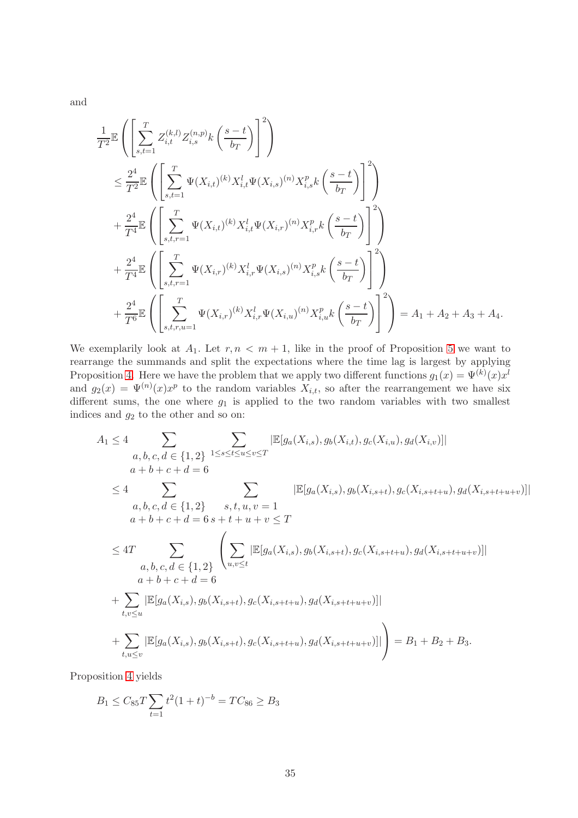and

$$
\frac{1}{T^{2}}\mathbb{E}\left(\left[\sum_{s,t=1}^{T} Z_{i,t}^{(k,l)} Z_{i,s}^{(n,p)} k\left(\frac{s-t}{b_T}\right)\right]^{2}\right) \n\leq \frac{2^{4}}{T^{2}}\mathbb{E}\left(\left[\sum_{s,t=1}^{T} \Psi(X_{i,t})^{(k)} X_{i,t}^{l} \Psi(X_{i,s})^{(n)} X_{i,s}^{p} k\left(\frac{s-t}{b_T}\right)\right]^{2}\right) \n+ \frac{2^{4}}{T^{4}}\mathbb{E}\left(\left[\sum_{s,t,r=1}^{T} \Psi(X_{i,t})^{(k)} X_{i,t}^{l} \Psi(X_{i,r})^{(n)} X_{i,r}^{p} k\left(\frac{s-t}{b_T}\right)\right]^{2}\right) \n+ \frac{2^{4}}{T^{4}}\mathbb{E}\left(\left[\sum_{s,t,r=1}^{T} \Psi(X_{i,r})^{(k)} X_{i,r}^{l} \Psi(X_{i,s})^{(n)} X_{i,s}^{p} k\left(\frac{s-t}{b_T}\right)\right]^{2}\right) \n+ \frac{2^{4}}{T^{6}}\mathbb{E}\left(\left[\sum_{s,t,r,u=1}^{T} \Psi(X_{i,r})^{(k)} X_{i,r}^{l} \Psi(X_{i,u})^{(n)} X_{i,u}^{p} k\left(\frac{s-t}{b_T}\right)\right]^{2}\right) = A_1 + A_2 + A_3 + A_4.
$$

We exemplarily look at  $A_1$ . Let  $r, n < m+1$ , like in the proof of Proposition [5](#page-18-1) we want to rearrange the summands and split the expectations where the time lag is largest by applying Proposition [4.](#page-18-5) Here we have the problem that we apply two different functions  $g_1(x) = \Psi^{(k)}(x) x^l$ and  $g_2(x) = \Psi^{(n)}(x)x^p$  to the random variables  $X_{i,t}$ , so after the rearrangement we have six different sums, the one where  $g_1$  is applied to the two random variables with two smallest indices and  $g_2$  to the other and so on:

$$
A_{1} \leq 4 \sum_{\substack{a,b,c,d \in \{1,2\} \\ a+b+c+d=6}} \sum_{1 \leq s \leq t \leq u \leq v \leq T} |\mathbb{E}[g_{a}(X_{i,s}), g_{b}(X_{i,t}), g_{c}(X_{i,u}), g_{d}(X_{i,v})]|
$$
  
\n
$$
a+b+c+d=6 \sum_{a,b,c,d \in \{1,2\}} \sum_{s,t,u,v=1} |\mathbb{E}[g_{a}(X_{i,s}), g_{b}(X_{i,s+t}), g_{c}(X_{i,s+t+u}), g_{d}(X_{i,s+t+u+v})]|
$$
  
\n
$$
a+b+c+d=6 s+t+u+v \leq T
$$
  
\n
$$
\leq 4T \sum_{\substack{a,b,c,d \in \{1,2\} \\ a+b+c+d=6}} \left( \sum_{u,v \leq t} |\mathbb{E}[g_{a}(X_{i,s}), g_{b}(X_{i,s+t}), g_{c}(X_{i,s+t+u}), g_{d}(X_{i,s+t+u+v})]| \right)
$$
  
\n
$$
+ \sum_{t,v \leq u} |\mathbb{E}[g_{a}(X_{i,s}), g_{b}(X_{i,s+t}), g_{c}(X_{i,s+t+u}), g_{d}(X_{i,s+t+u+v})]| \right) = B_{1} + B_{2} + B_{3}.
$$

Proposition [4](#page-18-5) yields

$$
B_1 \le C_{85}T \sum_{t=1}^{n} t^2 (1+t)^{-b} = TC_{86} \ge B_3
$$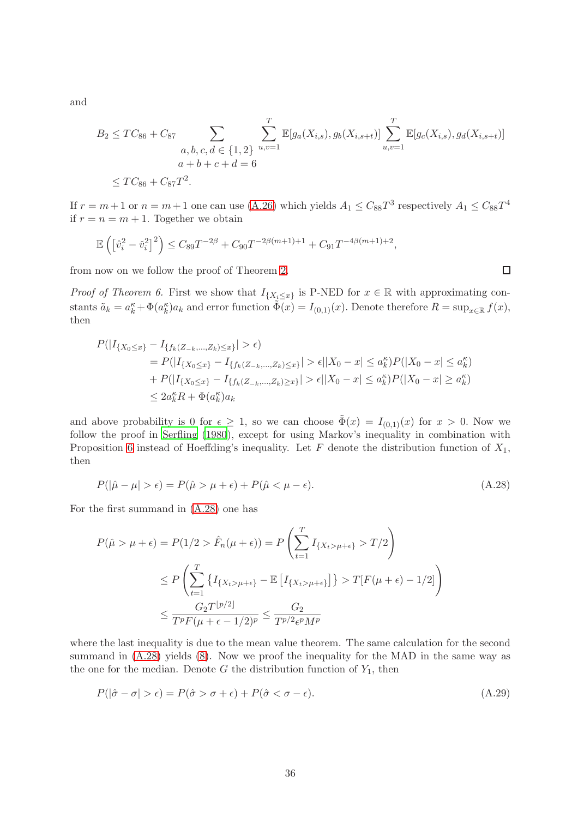and

$$
B_2 \le TC_{86} + C_{87} \sum_{\substack{a, b, c, d \in \{1, 2\} \\ a+b+c+d=6}} \sum_{u,v=1}^T \mathbb{E}[g_a(X_{i,s}), g_b(X_{i,s+t})] \sum_{u,v=1}^T \mathbb{E}[g_c(X_{i,s}), g_d(X_{i,s+t})]
$$
  

$$
\le TC_{86} + C_{87}T^2.
$$

If  $r = m + 1$  or  $n = m + 1$  one can use [\(A.26\)](#page-33-1) which yields  $A_1 \leq C_{88}T^3$  respectively  $A_1 \leq C_{88}T^4$ if  $r = n = m + 1$ . Together we obtain

$$
\mathbb{E}\left(\left[\hat{v}_i^2 - \check{v}_i^2\right]^2\right) \le C_{89}T^{-2\beta} + C_{90}T^{-2\beta(m+1)+1} + C_{91}T^{-4\beta(m+1)+2},
$$

from now on we follow the proof of Theorem [2.](#page-7-1)

*Proof of Theorem 6.* First we show that  $I_{\{X_i \leq x\}}$  is P-NED for  $x \in \mathbb{R}$  with approximating constants  $\tilde{a}_k = a_k^{\kappa} + \Phi(a_k^{\kappa})a_k$  and error function  $\tilde{\Phi}(x) = I_{(0,1)}(x)$ . Denote therefore  $R = \sup_{x \in \mathbb{R}} f(x)$ , then

$$
P(|I_{\{X_0 \le x\}} - I_{\{f_k(Z_{-k},...,Z_k) \le x\}}| > \epsilon)
$$
  
=  $P(|I_{\{X_0 \le x\}} - I_{\{f_k(Z_{-k},...,Z_k) \le x\}}| > \epsilon ||X_0 - x| \le a_k^{\kappa} \cdot P(|X_0 - x| \le a_k^{\kappa})$   
+  $P(|I_{\{X_0 \le x\}} - I_{\{f_k(Z_{-k},...,Z_k) \ge x\}}| > \epsilon ||X_0 - x| \le a_k^{\kappa} \cdot P(|X_0 - x| \ge a_k^{\kappa})$   
 $\le 2a_k^{\kappa} R + \Phi(a_k^{\kappa}) a_k$ 

and above probability is 0 for  $\epsilon \geq 1$ , so we can choose  $\tilde{\Phi}(x) = I_{(0,1)}(x)$  for  $x > 0$ . Now we follow the proof in [Serfling \(1980\)](#page-15-13), except for using Markov's inequality in combination with Proposition [6](#page-19-4) instead of Hoeffding's inequality. Let  $F$  denote the distribution function of  $X_1$ , then

$$
P(|\hat{\mu} - \mu| > \epsilon) = P(\hat{\mu} > \mu + \epsilon) + P(\hat{\mu} < \mu - \epsilon).
$$
\n(A.28)

For the first summand in [\(A.28\)](#page-35-0) one has

$$
P(\hat{\mu} > \mu + \epsilon) = P(1/2 > \hat{F}_n(\mu + \epsilon)) = P\left(\sum_{t=1}^T I_{\{X_t > \mu + \epsilon\}} > T/2\right)
$$
  

$$
\leq P\left(\sum_{t=1}^T \{I_{\{X_t > \mu + \epsilon\}} - \mathbb{E}\left[I_{\{X_t > \mu + \epsilon\}}\right]\} > T[F(\mu + \epsilon) - 1/2]\right)
$$
  

$$
\leq \frac{G_2 T^{[p/2]}}{T^p F(\mu + \epsilon - 1/2)^p} \leq \frac{G_2}{T^{p/2} \epsilon^p M^p}
$$

where the last inequality is due to the mean value theorem. The same calculation for the second summand in  $(A.28)$  yields  $(8)$ . Now we proof the inequality for the MAD in the same way as the one for the median. Denote G the distribution function of  $Y_1$ , then

<span id="page-35-1"></span>
$$
P(|\hat{\sigma} - \sigma| > \epsilon) = P(\hat{\sigma} > \sigma + \epsilon) + P(\hat{\sigma} < \sigma - \epsilon).
$$
 (A.29)

<span id="page-35-0"></span> $\Box$